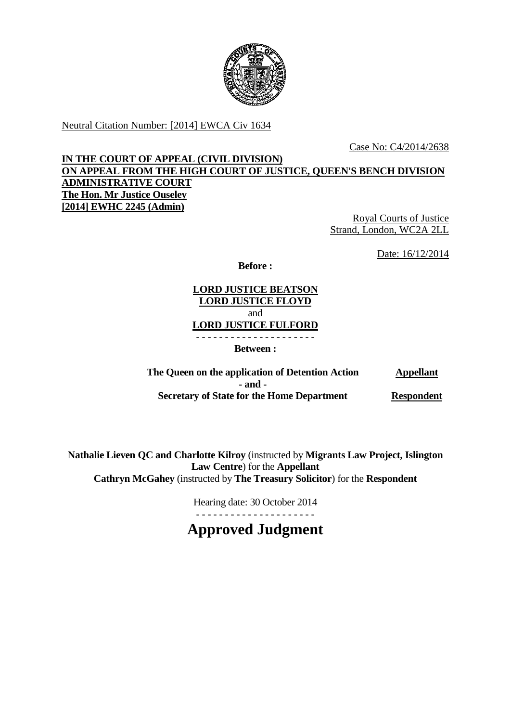

Neutral Citation Number: [2014] EWCA Civ 1634

Case No: C4/2014/2638

# **IN THE COURT OF APPEAL (CIVIL DIVISION) ON APPEAL FROM THE HIGH COURT OF JUSTICE, QUEEN'S BENCH DIVISION ADMINISTRATIVE COURT The Hon. Mr Justice Ouseley [2014] EWHC 2245 (Admin)**

Royal Courts of Justice Strand, London, WC2A 2LL

Date: 16/12/2014

**Before :**

**LORD JUSTICE BEATSON LORD JUSTICE FLOYD** and **LORD JUSTICE FULFORD** - - - - - - - - - - - - - - - - - - - - -

**Between :**

**The Queen on the application of Detention Action Appellant - and - Secretary of State for the Home Department Respondent**

**Nathalie Lieven QC and Charlotte Kilroy** (instructed by **Migrants Law Project, Islington Law Centre**) for the **Appellant Cathryn McGahey** (instructed by **The Treasury Solicitor**) for the **Respondent**

> Hearing date: 30 October 2014 - - - - - - - - - - - - - - - - - - - - -

**Approved Judgment**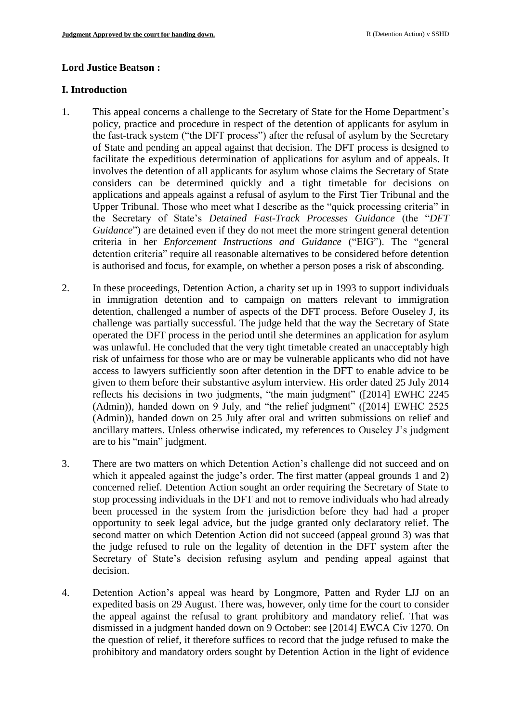#### **Lord Justice Beatson :**

#### **I. Introduction**

- 1. This appeal concerns a challenge to the Secretary of State for the Home Department's policy, practice and procedure in respect of the detention of applicants for asylum in the fast-track system ("the DFT process") after the refusal of asylum by the Secretary of State and pending an appeal against that decision. The DFT process is designed to facilitate the expeditious determination of applications for asylum and of appeals. It involves the detention of all applicants for asylum whose claims the Secretary of State considers can be determined quickly and a tight timetable for decisions on applications and appeals against a refusal of asylum to the First Tier Tribunal and the Upper Tribunal. Those who meet what I describe as the "quick processing criteria" in the Secretary of State's *Detained Fast-Track Processes Guidance* (the "*DFT Guidance*") are detained even if they do not meet the more stringent general detention criteria in her *Enforcement Instructions and Guidance* ("EIG"). The "general detention criteria" require all reasonable alternatives to be considered before detention is authorised and focus, for example, on whether a person poses a risk of absconding.
- 2. In these proceedings, Detention Action, a charity set up in 1993 to support individuals in immigration detention and to campaign on matters relevant to immigration detention, challenged a number of aspects of the DFT process. Before Ouseley J, its challenge was partially successful. The judge held that the way the Secretary of State operated the DFT process in the period until she determines an application for asylum was unlawful. He concluded that the very tight timetable created an unacceptably high risk of unfairness for those who are or may be vulnerable applicants who did not have access to lawyers sufficiently soon after detention in the DFT to enable advice to be given to them before their substantive asylum interview. His order dated 25 July 2014 reflects his decisions in two judgments, "the main judgment" ([2014] EWHC 2245 (Admin)), handed down on 9 July, and "the relief judgment" ([2014] EWHC 2525 (Admin)), handed down on 25 July after oral and written submissions on relief and ancillary matters. Unless otherwise indicated, my references to Ouseley J's judgment are to his "main" judgment.
- 3. There are two matters on which Detention Action's challenge did not succeed and on which it appealed against the judge's order. The first matter (appeal grounds 1 and 2) concerned relief. Detention Action sought an order requiring the Secretary of State to stop processing individuals in the DFT and not to remove individuals who had already been processed in the system from the jurisdiction before they had had a proper opportunity to seek legal advice, but the judge granted only declaratory relief. The second matter on which Detention Action did not succeed (appeal ground 3) was that the judge refused to rule on the legality of detention in the DFT system after the Secretary of State's decision refusing asylum and pending appeal against that decision.
- 4. Detention Action's appeal was heard by Longmore, Patten and Ryder LJJ on an expedited basis on 29 August. There was, however, only time for the court to consider the appeal against the refusal to grant prohibitory and mandatory relief. That was dismissed in a judgment handed down on 9 October: see [2014] EWCA Civ 1270. On the question of relief, it therefore suffices to record that the judge refused to make the prohibitory and mandatory orders sought by Detention Action in the light of evidence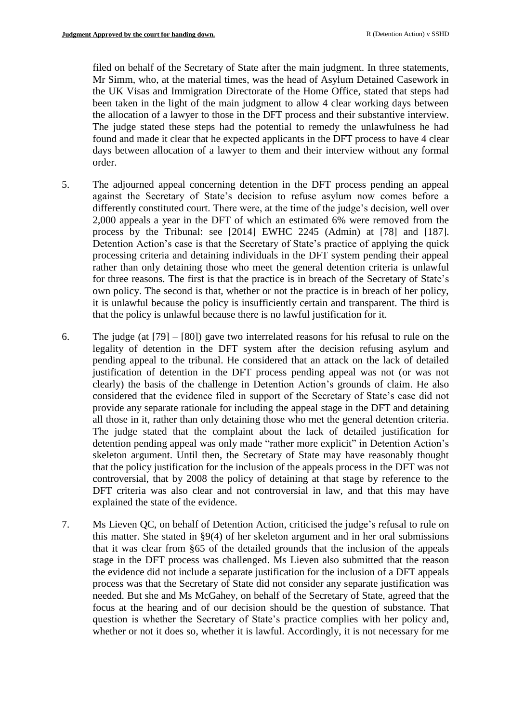filed on behalf of the Secretary of State after the main judgment. In three statements, Mr Simm, who, at the material times, was the head of Asylum Detained Casework in the UK Visas and Immigration Directorate of the Home Office, stated that steps had been taken in the light of the main judgment to allow 4 clear working days between the allocation of a lawyer to those in the DFT process and their substantive interview. The judge stated these steps had the potential to remedy the unlawfulness he had found and made it clear that he expected applicants in the DFT process to have 4 clear days between allocation of a lawyer to them and their interview without any formal order.

- 5. The adjourned appeal concerning detention in the DFT process pending an appeal against the Secretary of State's decision to refuse asylum now comes before a differently constituted court. There were, at the time of the judge's decision, well over 2,000 appeals a year in the DFT of which an estimated 6% were removed from the process by the Tribunal: see [2014] EWHC 2245 (Admin) at [78] and [187]. Detention Action's case is that the Secretary of State's practice of applying the quick processing criteria and detaining individuals in the DFT system pending their appeal rather than only detaining those who meet the general detention criteria is unlawful for three reasons. The first is that the practice is in breach of the Secretary of State's own policy. The second is that, whether or not the practice is in breach of her policy, it is unlawful because the policy is insufficiently certain and transparent. The third is that the policy is unlawful because there is no lawful justification for it.
- 6. The judge (at [79] [80]) gave two interrelated reasons for his refusal to rule on the legality of detention in the DFT system after the decision refusing asylum and pending appeal to the tribunal. He considered that an attack on the lack of detailed justification of detention in the DFT process pending appeal was not (or was not clearly) the basis of the challenge in Detention Action's grounds of claim. He also considered that the evidence filed in support of the Secretary of State's case did not provide any separate rationale for including the appeal stage in the DFT and detaining all those in it, rather than only detaining those who met the general detention criteria. The judge stated that the complaint about the lack of detailed justification for detention pending appeal was only made "rather more explicit" in Detention Action's skeleton argument. Until then, the Secretary of State may have reasonably thought that the policy justification for the inclusion of the appeals process in the DFT was not controversial, that by 2008 the policy of detaining at that stage by reference to the DFT criteria was also clear and not controversial in law, and that this may have explained the state of the evidence.
- 7. Ms Lieven QC, on behalf of Detention Action, criticised the judge's refusal to rule on this matter. She stated in §9(4) of her skeleton argument and in her oral submissions that it was clear from §65 of the detailed grounds that the inclusion of the appeals stage in the DFT process was challenged. Ms Lieven also submitted that the reason the evidence did not include a separate justification for the inclusion of a DFT appeals process was that the Secretary of State did not consider any separate justification was needed. But she and Ms McGahey, on behalf of the Secretary of State, agreed that the focus at the hearing and of our decision should be the question of substance. That question is whether the Secretary of State's practice complies with her policy and, whether or not it does so, whether it is lawful. Accordingly, it is not necessary for me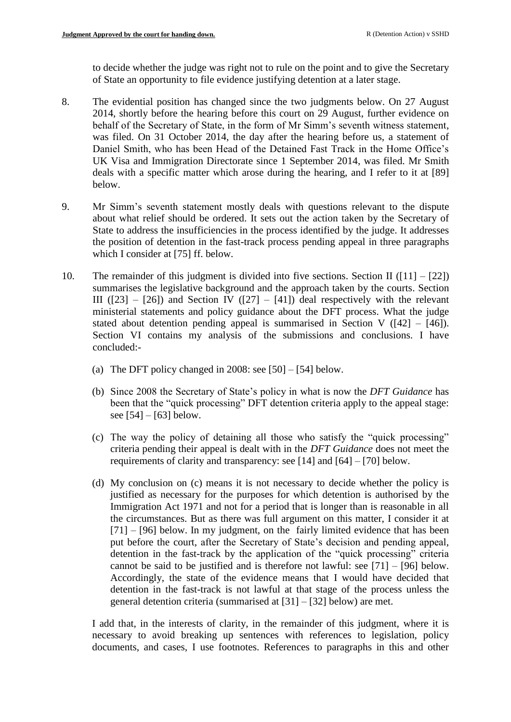to decide whether the judge was right not to rule on the point and to give the Secretary of State an opportunity to file evidence justifying detention at a later stage.

- 8. The evidential position has changed since the two judgments below. On 27 August 2014, shortly before the hearing before this court on 29 August, further evidence on behalf of the Secretary of State, in the form of Mr Simm's seventh witness statement, was filed. On 31 October 2014, the day after the hearing before us, a statement of Daniel Smith, who has been Head of the Detained Fast Track in the Home Office's UK Visa and Immigration Directorate since 1 September 2014, was filed. Mr Smith deals with a specific matter which arose during the hearing, and I refer to it at [89] below.
- 9. Mr Simm's seventh statement mostly deals with questions relevant to the dispute about what relief should be ordered. It sets out the action taken by the Secretary of State to address the insufficiencies in the process identified by the judge. It addresses the position of detention in the fast-track process pending appeal in three paragraphs which I consider at [75] ff. below.
- 10. The remainder of this judgment is divided into five sections. Section II ( $[11] [22]$ ) summarises the legislative background and the approach taken by the courts. Section III ( $[23]$  –  $[26]$ ) and Section IV ( $[27]$  –  $[41]$ ) deal respectively with the relevant ministerial statements and policy guidance about the DFT process. What the judge stated about detention pending appeal is summarised in Section V ( $[42] - [46]$ ). Section VI contains my analysis of the submissions and conclusions. I have concluded:-
	- (a) The DFT policy changed in 2008: see  $[50] [54]$  below.
	- (b) Since 2008 the Secretary of State's policy in what is now the *DFT Guidance* has been that the "quick processing" DFT detention criteria apply to the appeal stage: see  $[54] - [63]$  below.
	- (c) The way the policy of detaining all those who satisfy the "quick processing" criteria pending their appeal is dealt with in the *DFT Guidance* does not meet the requirements of clarity and transparency: see [14] and [64] – [70] below.
	- (d) My conclusion on (c) means it is not necessary to decide whether the policy is justified as necessary for the purposes for which detention is authorised by the Immigration Act 1971 and not for a period that is longer than is reasonable in all the circumstances. But as there was full argument on this matter, I consider it at  $[71] - [96]$  below. In my judgment, on the fairly limited evidence that has been put before the court, after the Secretary of State's decision and pending appeal, detention in the fast-track by the application of the "quick processing" criteria cannot be said to be justified and is therefore not lawful: see  $[71] - [96]$  below. Accordingly, the state of the evidence means that I would have decided that detention in the fast-track is not lawful at that stage of the process unless the general detention criteria (summarised at [31] – [32] below) are met.

I add that, in the interests of clarity, in the remainder of this judgment, where it is necessary to avoid breaking up sentences with references to legislation, policy documents, and cases, I use footnotes. References to paragraphs in this and other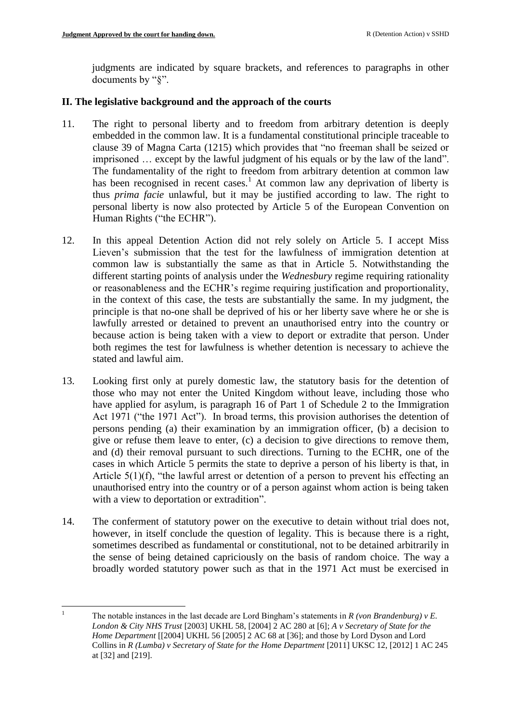judgments are indicated by square brackets, and references to paragraphs in other documents by "§".

# **II. The legislative background and the approach of the courts**

- 11. The right to personal liberty and to freedom from arbitrary detention is deeply embedded in the common law. It is a fundamental constitutional principle traceable to clause 39 of Magna Carta (1215) which provides that "no freeman shall be seized or imprisoned … except by the lawful judgment of his equals or by the law of the land". The fundamentality of the right to freedom from arbitrary detention at common law has been recognised in recent cases.<sup>1</sup> At common law any deprivation of liberty is thus *prima facie* unlawful, but it may be justified according to law. The right to personal liberty is now also protected by Article 5 of the European Convention on Human Rights ("the ECHR").
- 12. In this appeal Detention Action did not rely solely on Article 5. I accept Miss Lieven's submission that the test for the lawfulness of immigration detention at common law is substantially the same as that in Article 5. Notwithstanding the different starting points of analysis under the *Wednesbury* regime requiring rationality or reasonableness and the ECHR's regime requiring justification and proportionality, in the context of this case, the tests are substantially the same. In my judgment, the principle is that no-one shall be deprived of his or her liberty save where he or she is lawfully arrested or detained to prevent an unauthorised entry into the country or because action is being taken with a view to deport or extradite that person. Under both regimes the test for lawfulness is whether detention is necessary to achieve the stated and lawful aim.
- 13. Looking first only at purely domestic law, the statutory basis for the detention of those who may not enter the United Kingdom without leave, including those who have applied for asylum, is paragraph 16 of Part 1 of Schedule 2 to the Immigration Act 1971 ("the 1971 Act"). In broad terms, this provision authorises the detention of persons pending (a) their examination by an immigration officer, (b) a decision to give or refuse them leave to enter, (c) a decision to give directions to remove them, and (d) their removal pursuant to such directions. Turning to the ECHR, one of the cases in which Article 5 permits the state to deprive a person of his liberty is that, in Article 5(1)(f), "the lawful arrest or detention of a person to prevent his effecting an unauthorised entry into the country or of a person against whom action is being taken with a view to deportation or extradition".
- 14. The conferment of statutory power on the executive to detain without trial does not, however, in itself conclude the question of legality. This is because there is a right, sometimes described as fundamental or constitutional, not to be detained arbitrarily in the sense of being detained capriciously on the basis of random choice. The way a broadly worded statutory power such as that in the 1971 Act must be exercised in

 $\mathbf{1}$ <sup>1</sup> The notable instances in the last decade are Lord Bingham's statements in *R (von Brandenburg) v E. London & City NHS Trust* [2003] UKHL 58, [2004] 2 AC 280 at [6]; *A v Secretary of State for the Home Department* [[2004] UKHL 56 [2005] 2 AC 68 at [36]; and those by Lord Dyson and Lord Collins in *R (Lumba) v Secretary of State for the Home Department* [2011] UKSC 12, [2012] 1 AC 245 at [32] and [219].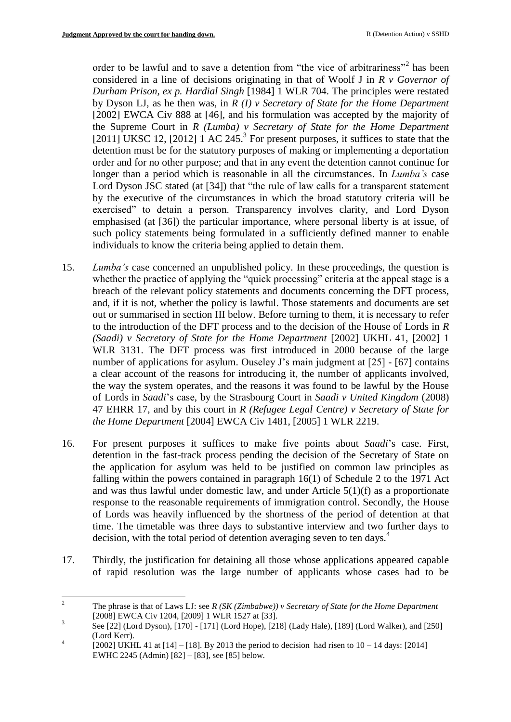order to be lawful and to save a detention from "the vice of arbitrariness"<sup>2</sup> has been considered in a line of decisions originating in that of Woolf J in *R v Governor of Durham Prison, ex p. Hardial Singh* [1984] 1 WLR 704. The principles were restated by Dyson LJ, as he then was, in *R (I) v Secretary of State for the Home Department* [\[2002\] EWCA Civ 888](http://www.bailii.org/ew/cases/EWCA/Civ/2002/888.html) at [46], and his formulation was accepted by the majority of the Supreme Court in *R (Lumba) v Secretary of State for the Home Department*  [2011] UKSC 12, [2012]  $1 \text{ AC } 245$ <sup>3</sup> For present purposes, it suffices to state that the detention must be for the statutory purposes of making or implementing a deportation order and for no other purpose; and that in any event the detention cannot continue for longer than a period which is reasonable in all the circumstances. In *Lumba's* case Lord Dyson JSC stated (at [34]) that "the rule of law calls for a transparent statement by the executive of the circumstances in which the broad statutory criteria will be exercised" to detain a person. Transparency involves clarity, and Lord Dyson emphasised (at [36]) the particular importance, where personal liberty is at issue, of such policy statements being formulated in a sufficiently defined manner to enable individuals to know the criteria being applied to detain them.

- 15. *Lumba's* case concerned an unpublished policy. In these proceedings, the question is whether the practice of applying the "quick processing" criteria at the appeal stage is a breach of the relevant policy statements and documents concerning the DFT process, and, if it is not, whether the policy is lawful. Those statements and documents are set out or summarised in section III below. Before turning to them, it is necessary to refer to the introduction of the DFT process and to the decision of the House of Lords in *R (Saadi) v Secretary of State for the Home Department* [2002] UKHL 41, [2002] 1 WLR 3131. The DFT process was first introduced in 2000 because of the large number of applications for asylum. Ouseley J's main judgment at [25] - [67] contains a clear account of the reasons for introducing it, the number of applicants involved, the way the system operates, and the reasons it was found to be lawful by the House of Lords in *Saadi*'s case, by the Strasbourg Court in *Saadi v United Kingdom* (2008) 47 EHRR 17, and by this court in *R (Refugee Legal Centre) v Secretary of State for the Home Department* [2004] EWCA Civ 1481, [2005] 1 WLR 2219.
- 16. For present purposes it suffices to make five points about *Saadi*'s case. First, detention in the fast-track process pending the decision of the Secretary of State on the application for asylum was held to be justified on common law principles as falling within the powers contained in paragraph 16(1) of Schedule 2 to the 1971 Act and was thus lawful under domestic law, and under Article 5(1)(f) as a proportionate response to the reasonable requirements of immigration control. Secondly, the House of Lords was heavily influenced by the shortness of the period of detention at that time. The timetable was three days to substantive interview and two further days to decision, with the total period of detention averaging seven to ten days.<sup>4</sup>
- 17. Thirdly, the justification for detaining all those whose applications appeared capable of rapid resolution was the large number of applicants whose cases had to be

 $\mathcal{L}$ <sup>2</sup> The phrase is that of Laws LJ: see *R (SK (Zimbabwe)) v Secretary of State for the Home Department*  [2008] EWCA Civ 1204, [2009] 1 WLR 1527 at [33].

<sup>3</sup> See [22] (Lord Dyson), [170] - [171] (Lord Hope), [218] (Lady Hale), [189] (Lord Walker), and [250] (Lord Kerr).

<sup>4</sup> [2002] UKHL 41 at  $[14] - [18]$ . By 2013 the period to decision had risen to  $10 - 14$  days: [2014] EWHC 2245 (Admin) [82] – [83], see [85] below.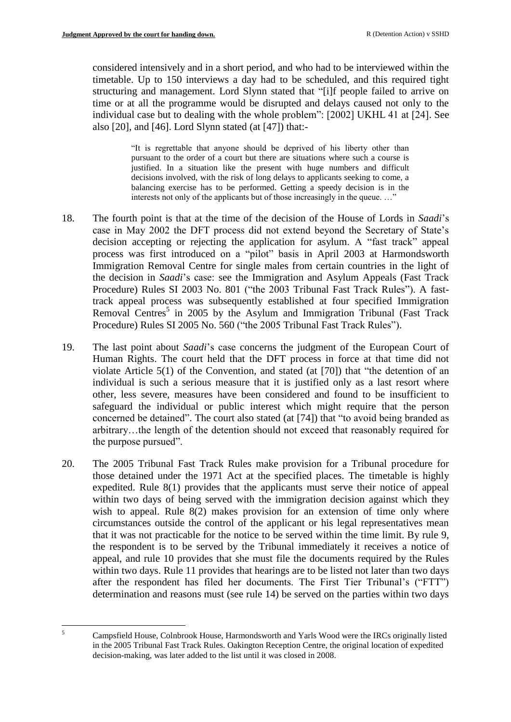$\overline{5}$ 

considered intensively and in a short period, and who had to be interviewed within the timetable. Up to 150 interviews a day had to be scheduled, and this required tight structuring and management. Lord Slynn stated that "[i]f people failed to arrive on time or at all the programme would be disrupted and delays caused not only to the individual case but to dealing with the whole problem": [2002] UKHL 41 at [24]. See also [20], and [46]. Lord Slynn stated (at [47]) that:-

> "It is regrettable that anyone should be deprived of his liberty other than pursuant to the order of a court but there are situations where such a course is justified. In a situation like the present with huge numbers and difficult decisions involved, with the risk of long delays to applicants seeking to come, a balancing exercise has to be performed. Getting a speedy decision is in the interests not only of the applicants but of those increasingly in the queue...."

- 18. The fourth point is that at the time of the decision of the House of Lords in *Saadi*'s case in May 2002 the DFT process did not extend beyond the Secretary of State's decision accepting or rejecting the application for asylum. A "fast track" appeal process was first introduced on a "pilot" basis in April 2003 at Harmondsworth Immigration Removal Centre for single males from certain countries in the light of the decision in *Saadi*'s case: see the Immigration and Asylum Appeals (Fast Track Procedure) Rules SI 2003 No. 801 ("the 2003 Tribunal Fast Track Rules"). A fasttrack appeal process was subsequently established at four specified Immigration Removal Centres<sup>5</sup> in 2005 by the Asylum and Immigration Tribunal (Fast Track Procedure) Rules SI 2005 No. 560 ("the 2005 Tribunal Fast Track Rules").
- 19. The last point about *Saadi*'s case concerns the judgment of the European Court of Human Rights. The court held that the DFT process in force at that time did not violate Article 5(1) of the Convention, and stated (at [70]) that "the detention of an individual is such a serious measure that it is justified only as a last resort where other, less severe, measures have been considered and found to be insufficient to safeguard the individual or public interest which might require that the person concerned be detained". The court also stated (at [74]) that "to avoid being branded as arbitrary…the length of the detention should not exceed that reasonably required for the purpose pursued".
- 20. The 2005 Tribunal Fast Track Rules make provision for a Tribunal procedure for those detained under the 1971 Act at the specified places. The timetable is highly expedited. Rule 8(1) provides that the applicants must serve their notice of appeal within two days of being served with the immigration decision against which they wish to appeal. Rule 8(2) makes provision for an extension of time only where circumstances outside the control of the applicant or his legal representatives mean that it was not practicable for the notice to be served within the time limit. By rule 9, the respondent is to be served by the Tribunal immediately it receives a notice of appeal, and rule 10 provides that she must file the documents required by the Rules within two days. Rule 11 provides that hearings are to be listed not later than two days after the respondent has filed her documents. The First Tier Tribunal's ("FTT") determination and reasons must (see rule 14) be served on the parties within two days

<sup>5</sup> Campsfield House, Colnbrook House, Harmondsworth and Yarls Wood were the IRCs originally listed in the 2005 Tribunal Fast Track Rules. Oakington Reception Centre, the original location of expedited decision-making, was later added to the list until it was closed in 2008.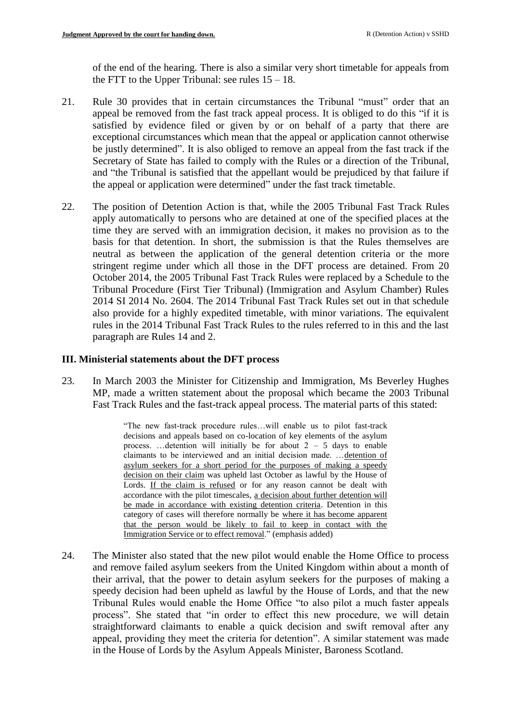of the end of the hearing. There is also a similar very short timetable for appeals from the FTT to the Upper Tribunal: see rules  $15 - 18$ .

- 21. Rule 30 provides that in certain circumstances the Tribunal "must" order that an appeal be removed from the fast track appeal process. It is obliged to do this "if it is satisfied by evidence filed or given by or on behalf of a party that there are exceptional circumstances which mean that the appeal or application cannot otherwise be justly determined". It is also obliged to remove an appeal from the fast track if the Secretary of State has failed to comply with the Rules or a direction of the Tribunal, and "the Tribunal is satisfied that the appellant would be prejudiced by that failure if the appeal or application were determined" under the fast track timetable.
- 22. The position of Detention Action is that, while the 2005 Tribunal Fast Track Rules apply automatically to persons who are detained at one of the specified places at the time they are served with an immigration decision, it makes no provision as to the basis for that detention. In short, the submission is that the Rules themselves are neutral as between the application of the general detention criteria or the more stringent regime under which all those in the DFT process are detained. From 20 October 2014, the 2005 Tribunal Fast Track Rules were replaced by a Schedule to the Tribunal Procedure (First Tier Tribunal) (Immigration and Asylum Chamber) Rules 2014 SI 2014 No. 2604. The 2014 Tribunal Fast Track Rules set out in that schedule also provide for a highly expedited timetable, with minor variations. The equivalent rules in the 2014 Tribunal Fast Track Rules to the rules referred to in this and the last paragraph are Rules 14 and 2.

### **III. Ministerial statements about the DFT process**

23. In March 2003 the Minister for Citizenship and Immigration, Ms Beverley Hughes MP, made a written statement about the proposal which became the 2003 Tribunal Fast Track Rules and the fast-track appeal process. The material parts of this stated:

> "The new fast-track procedure rules…will enable us to pilot fast-track decisions and appeals based on co-location of key elements of the asylum process. ... detention will initially be for about  $2 - 5$  days to enable claimants to be interviewed and an initial decision made. …detention of asylum seekers for a short period for the purposes of making a speedy decision on their claim was upheld last October as lawful by the House of Lords. If the claim is refused or for any reason cannot be dealt with accordance with the pilot timescales, a decision about further detention will be made in accordance with existing detention criteria. Detention in this category of cases will therefore normally be where it has become apparent that the person would be likely to fail to keep in contact with the Immigration Service or to effect removal." (emphasis added)

24. The Minister also stated that the new pilot would enable the Home Office to process and remove failed asylum seekers from the United Kingdom within about a month of their arrival, that the power to detain asylum seekers for the purposes of making a speedy decision had been upheld as lawful by the House of Lords, and that the new Tribunal Rules would enable the Home Office "to also pilot a much faster appeals process". She stated that "in order to effect this new procedure, we will detain straightforward claimants to enable a quick decision and swift removal after any appeal, providing they meet the criteria for detention". A similar statement was made in the House of Lords by the Asylum Appeals Minister, Baroness Scotland.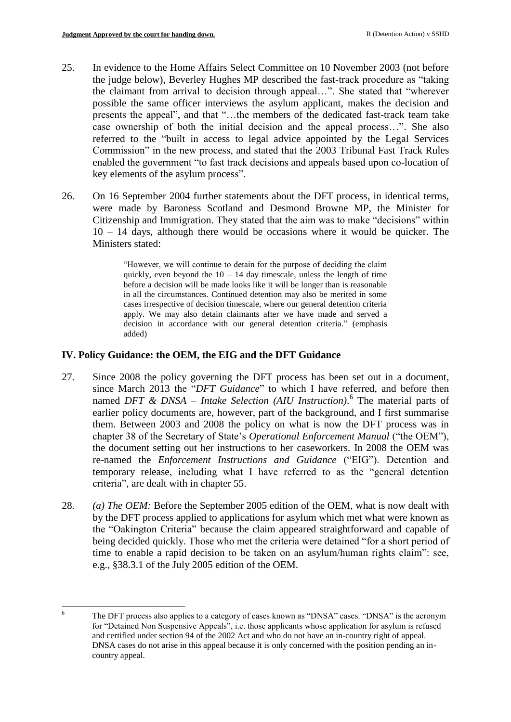- 25. In evidence to the Home Affairs Select Committee on 10 November 2003 (not before the judge below), Beverley Hughes MP described the fast-track procedure as "taking the claimant from arrival to decision through appeal…". She stated that "wherever possible the same officer interviews the asylum applicant, makes the decision and presents the appeal", and that "…the members of the dedicated fast-track team take case ownership of both the initial decision and the appeal process…". She also referred to the "built in access to legal advice appointed by the Legal Services Commission" in the new process, and stated that the 2003 Tribunal Fast Track Rules enabled the government "to fast track decisions and appeals based upon co-location of key elements of the asylum process".
- 26. On 16 September 2004 further statements about the DFT process, in identical terms, were made by Baroness Scotland and Desmond Browne MP, the Minister for Citizenship and Immigration. They stated that the aim was to make "decisions" within 10 – 14 days, although there would be occasions where it would be quicker. The Ministers stated:

"However, we will continue to detain for the purpose of deciding the claim quickly, even beyond the  $10 - 14$  day timescale, unless the length of time before a decision will be made looks like it will be longer than is reasonable in all the circumstances. Continued detention may also be merited in some cases irrespective of decision timescale, where our general detention criteria apply. We may also detain claimants after we have made and served a decision in accordance with our general detention criteria." (emphasis added)

# **IV. Policy Guidance: the OEM, the EIG and the DFT Guidance**

- 27. Since 2008 the policy governing the DFT process has been set out in a document, since March 2013 the "*DFT Guidance*" to which I have referred, and before then named *DFT & DNSA – Intake Selection (AIU Instruction)*. 6 The material parts of earlier policy documents are, however, part of the background, and I first summarise them. Between 2003 and 2008 the policy on what is now the DFT process was in chapter 38 of the Secretary of State's *Operational Enforcement Manual* ("the OEM"), the document setting out her instructions to her caseworkers. In 2008 the OEM was re-named the *Enforcement Instructions and Guidance* ("EIG"). Detention and temporary release, including what I have referred to as the "general detention criteria", are dealt with in chapter 55.
- 28. *(a) The OEM:* Before the September 2005 edition of the OEM, what is now dealt with by the DFT process applied to applications for asylum which met what were known as the "Oakington Criteria" because the claim appeared straightforward and capable of being decided quickly. Those who met the criteria were detained "for a short period of time to enable a rapid decision to be taken on an asylum/human rights claim": see, e.g., §38.3.1 of the July 2005 edition of the OEM.

 $\epsilon$ The DFT process also applies to a category of cases known as "DNSA" cases. "DNSA" is the acronym for "Detained Non Suspensive Appeals", i.e. those applicants whose application for asylum is refused and certified under section 94 of the 2002 Act and who do not have an in-country right of appeal. DNSA cases do not arise in this appeal because it is only concerned with the position pending an incountry appeal.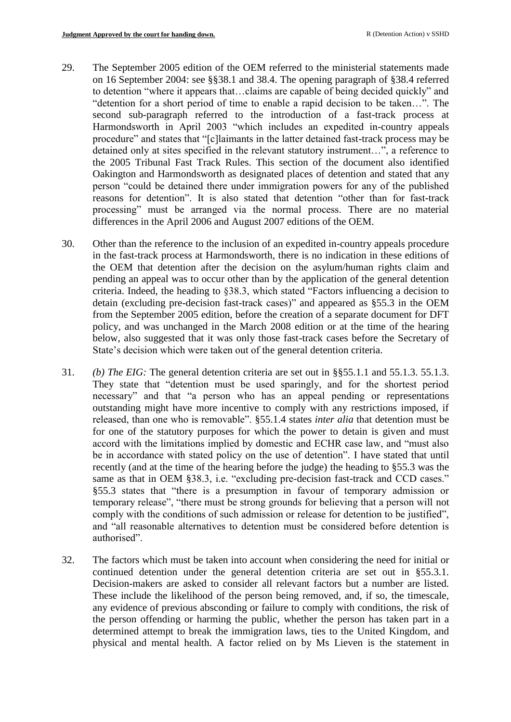- 29. The September 2005 edition of the OEM referred to the ministerial statements made on 16 September 2004: see §§38.1 and 38.4. The opening paragraph of §38.4 referred to detention "where it appears that…claims are capable of being decided quickly" and "detention for a short period of time to enable a rapid decision to be taken…". The second sub-paragraph referred to the introduction of a fast-track process at Harmondsworth in April 2003 "which includes an expedited in-country appeals procedure" and states that "[c]laimants in the latter detained fast-track process may be detained only at sites specified in the relevant statutory instrument…", a reference to the 2005 Tribunal Fast Track Rules. This section of the document also identified Oakington and Harmondsworth as designated places of detention and stated that any person "could be detained there under immigration powers for any of the published reasons for detention". It is also stated that detention "other than for fast-track processing" must be arranged via the normal process. There are no material differences in the April 2006 and August 2007 editions of the OEM.
- 30. Other than the reference to the inclusion of an expedited in-country appeals procedure in the fast-track process at Harmondsworth, there is no indication in these editions of the OEM that detention after the decision on the asylum/human rights claim and pending an appeal was to occur other than by the application of the general detention criteria. Indeed, the heading to §38.3, which stated "Factors influencing a decision to detain (excluding pre-decision fast-track cases)" and appeared as §55.3 in the OEM from the September 2005 edition, before the creation of a separate document for DFT policy, and was unchanged in the March 2008 edition or at the time of the hearing below, also suggested that it was only those fast-track cases before the Secretary of State's decision which were taken out of the general detention criteria.
- 31. *(b) The EIG:* The general detention criteria are set out in §§55.1.1 and 55.1.3. 55.1.3. They state that "detention must be used sparingly, and for the shortest period necessary" and that "a person who has an appeal pending or representations outstanding might have more incentive to comply with any restrictions imposed, if released, than one who is removable". §55.1.4 states *inter alia* that detention must be for one of the statutory purposes for which the power to detain is given and must accord with the limitations implied by domestic and ECHR case law, and "must also be in accordance with stated policy on the use of detention". I have stated that until recently (and at the time of the hearing before the judge) the heading to §55.3 was the same as that in OEM §38.3, i.e. "excluding pre-decision fast-track and CCD cases." §55.3 states that "there is a presumption in favour of temporary admission or temporary release", "there must be strong grounds for believing that a person will not comply with the conditions of such admission or release for detention to be justified", and "all reasonable alternatives to detention must be considered before detention is authorised".
- 32. The factors which must be taken into account when considering the need for initial or continued detention under the general detention criteria are set out in §55.3.1. Decision-makers are asked to consider all relevant factors but a number are listed. These include the likelihood of the person being removed, and, if so, the timescale, any evidence of previous absconding or failure to comply with conditions, the risk of the person offending or harming the public, whether the person has taken part in a determined attempt to break the immigration laws, ties to the United Kingdom, and physical and mental health. A factor relied on by Ms Lieven is the statement in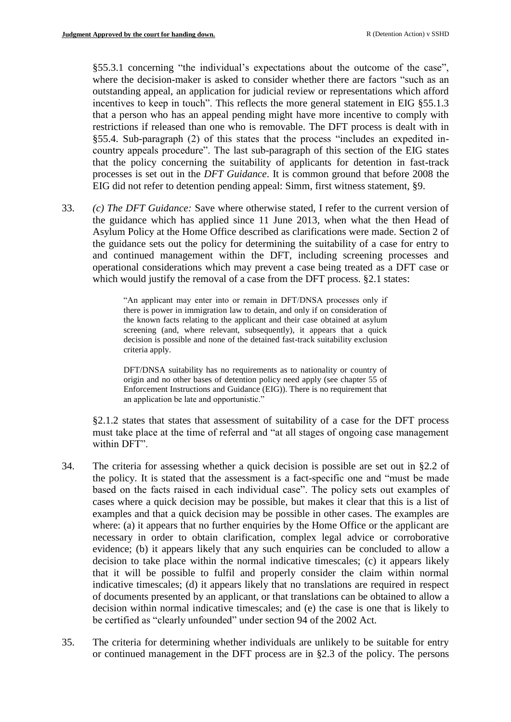§55.3.1 concerning "the individual's expectations about the outcome of the case", where the decision-maker is asked to consider whether there are factors "such as an outstanding appeal, an application for judicial review or representations which afford incentives to keep in touch". This reflects the more general statement in EIG §55.1.3 that a person who has an appeal pending might have more incentive to comply with restrictions if released than one who is removable. The DFT process is dealt with in §55.4. Sub-paragraph (2) of this states that the process "includes an expedited incountry appeals procedure". The last sub-paragraph of this section of the EIG states that the policy concerning the suitability of applicants for detention in fast-track processes is set out in the *DFT Guidance*. It is common ground that before 2008 the EIG did not refer to detention pending appeal: Simm, first witness statement, §9.

33. *(c) The DFT Guidance:* Save where otherwise stated, I refer to the current version of the guidance which has applied since 11 June 2013, when what the then Head of Asylum Policy at the Home Office described as clarifications were made. Section 2 of the guidance sets out the policy for determining the suitability of a case for entry to and continued management within the DFT, including screening processes and operational considerations which may prevent a case being treated as a DFT case or which would justify the removal of a case from the DFT process. §2.1 states:

> "An applicant may enter into or remain in DFT/DNSA processes only if there is power in immigration law to detain, and only if on consideration of the known facts relating to the applicant and their case obtained at asylum screening (and, where relevant, subsequently), it appears that a quick decision is possible and none of the detained fast-track suitability exclusion criteria apply.

> DFT/DNSA suitability has no requirements as to nationality or country of origin and no other bases of detention policy need apply (see chapter 55 of Enforcement Instructions and Guidance (EIG)). There is no requirement that an application be late and opportunistic."

§2.1.2 states that states that assessment of suitability of a case for the DFT process must take place at the time of referral and "at all stages of ongoing case management within DFT".

- 34. The criteria for assessing whether a quick decision is possible are set out in §2.2 of the policy. It is stated that the assessment is a fact-specific one and "must be made based on the facts raised in each individual case". The policy sets out examples of cases where a quick decision may be possible, but makes it clear that this is a list of examples and that a quick decision may be possible in other cases. The examples are where: (a) it appears that no further enquiries by the Home Office or the applicant are necessary in order to obtain clarification, complex legal advice or corroborative evidence; (b) it appears likely that any such enquiries can be concluded to allow a decision to take place within the normal indicative timescales; (c) it appears likely that it will be possible to fulfil and properly consider the claim within normal indicative timescales; (d) it appears likely that no translations are required in respect of documents presented by an applicant, or that translations can be obtained to allow a decision within normal indicative timescales; and (e) the case is one that is likely to be certified as "clearly unfounded" under section 94 of the 2002 Act.
- 35. The criteria for determining whether individuals are unlikely to be suitable for entry or continued management in the DFT process are in §2.3 of the policy. The persons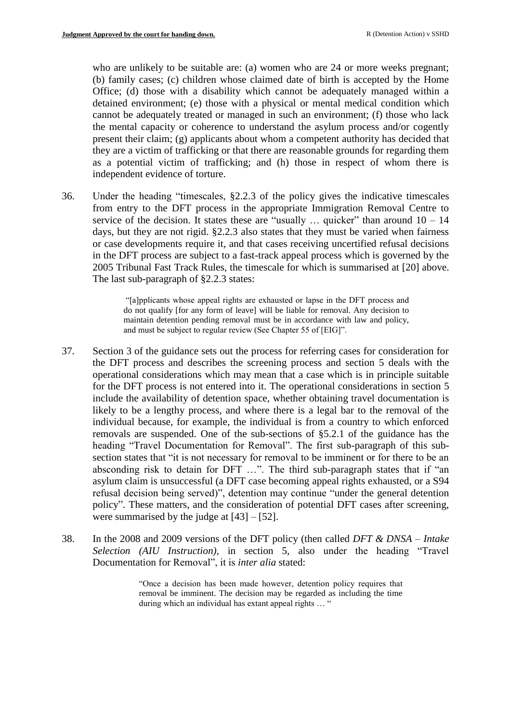who are unlikely to be suitable are: (a) women who are 24 or more weeks pregnant; (b) family cases; (c) children whose claimed date of birth is accepted by the Home Office; (d) those with a disability which cannot be adequately managed within a detained environment; (e) those with a physical or mental medical condition which cannot be adequately treated or managed in such an environment; (f) those who lack the mental capacity or coherence to understand the asylum process and/or cogently present their claim; (g) applicants about whom a competent authority has decided that they are a victim of trafficking or that there are reasonable grounds for regarding them as a potential victim of trafficking; and (h) those in respect of whom there is independent evidence of torture.

36. Under the heading "timescales, §2.2.3 of the policy gives the indicative timescales from entry to the DFT process in the appropriate Immigration Removal Centre to service of the decision. It states these are "usually  $\ldots$  quicker" than around  $10 - 14$ days, but they are not rigid. §2.2.3 also states that they must be varied when fairness or case developments require it, and that cases receiving uncertified refusal decisions in the DFT process are subject to a fast-track appeal process which is governed by the 2005 Tribunal Fast Track Rules, the timescale for which is summarised at [20] above. The last sub-paragraph of §2.2.3 states:

> "[a]pplicants whose appeal rights are exhausted or lapse in the DFT process and do not qualify [for any form of leave] will be liable for removal. Any decision to maintain detention pending removal must be in accordance with law and policy, and must be subject to regular review (See Chapter 55 of [EIG]".

- 37. Section 3 of the guidance sets out the process for referring cases for consideration for the DFT process and describes the screening process and section 5 deals with the operational considerations which may mean that a case which is in principle suitable for the DFT process is not entered into it. The operational considerations in section 5 include the availability of detention space, whether obtaining travel documentation is likely to be a lengthy process, and where there is a legal bar to the removal of the individual because, for example, the individual is from a country to which enforced removals are suspended. One of the sub-sections of §5.2.1 of the guidance has the heading "Travel Documentation for Removal". The first sub-paragraph of this subsection states that "it is not necessary for removal to be imminent or for there to be an absconding risk to detain for DFT …". The third sub-paragraph states that if "an asylum claim is unsuccessful (a DFT case becoming appeal rights exhausted, or a S94 refusal decision being served)", detention may continue "under the general detention policy". These matters, and the consideration of potential DFT cases after screening, were summarised by the judge at  $[43] - [52]$ .
- 38. In the 2008 and 2009 versions of the DFT policy (then called *DFT & DNSA – Intake Selection (AIU Instruction)*, in section 5, also under the heading "Travel Documentation for Removal", it is *inter alia* stated:

"Once a decision has been made however, detention policy requires that removal be imminent. The decision may be regarded as including the time during which an individual has extant appeal rights ... "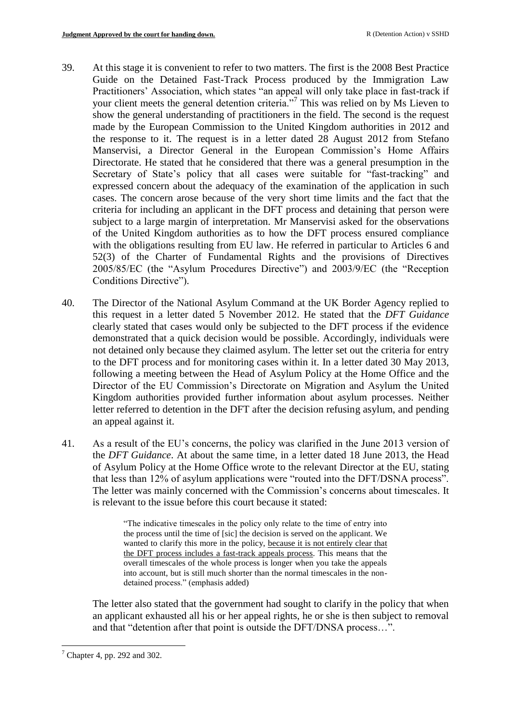- 39. At this stage it is convenient to refer to two matters. The first is the 2008 Best Practice Guide on the Detained Fast-Track Process produced by the Immigration Law Practitioners' Association, which states "an appeal will only take place in fast-track if your client meets the general detention criteria."<sup>7</sup> This was relied on by Ms Lieven to show the general understanding of practitioners in the field. The second is the request made by the European Commission to the United Kingdom authorities in 2012 and the response to it. The request is in a letter dated 28 August 2012 from Stefano Manservisi, a Director General in the European Commission's Home Affairs Directorate. He stated that he considered that there was a general presumption in the Secretary of State's policy that all cases were suitable for "fast-tracking" and expressed concern about the adequacy of the examination of the application in such cases. The concern arose because of the very short time limits and the fact that the criteria for including an applicant in the DFT process and detaining that person were subject to a large margin of interpretation. Mr Manservisi asked for the observations of the United Kingdom authorities as to how the DFT process ensured compliance with the obligations resulting from EU law. He referred in particular to Articles 6 and 52(3) of the Charter of Fundamental Rights and the provisions of Directives 2005/85/EC (the "Asylum Procedures Directive") and 2003/9/EC (the "Reception Conditions Directive").
- 40. The Director of the National Asylum Command at the UK Border Agency replied to this request in a letter dated 5 November 2012. He stated that the *DFT Guidance* clearly stated that cases would only be subjected to the DFT process if the evidence demonstrated that a quick decision would be possible. Accordingly, individuals were not detained only because they claimed asylum. The letter set out the criteria for entry to the DFT process and for monitoring cases within it. In a letter dated 30 May 2013, following a meeting between the Head of Asylum Policy at the Home Office and the Director of the EU Commission's Directorate on Migration and Asylum the United Kingdom authorities provided further information about asylum processes. Neither letter referred to detention in the DFT after the decision refusing asylum, and pending an appeal against it.
- 41. As a result of the EU's concerns, the policy was clarified in the June 2013 version of the *DFT Guidance*. At about the same time, in a letter dated 18 June 2013, the Head of Asylum Policy at the Home Office wrote to the relevant Director at the EU, stating that less than 12% of asylum applications were "routed into the DFT/DSNA process". The letter was mainly concerned with the Commission's concerns about timescales. It is relevant to the issue before this court because it stated:

"The indicative timescales in the policy only relate to the time of entry into the process until the time of [sic] the decision is served on the applicant. We wanted to clarify this more in the policy, because it is not entirely clear that the DFT process includes a fast-track appeals process. This means that the overall timescales of the whole process is longer when you take the appeals into account, but is still much shorter than the normal timescales in the nondetained process." (emphasis added)

The letter also stated that the government had sought to clarify in the policy that when an applicant exhausted all his or her appeal rights, he or she is then subject to removal and that "detention after that point is outside the DFT/DNSA process…".

1

 $<sup>7</sup>$  Chapter 4, pp. 292 and 302.</sup>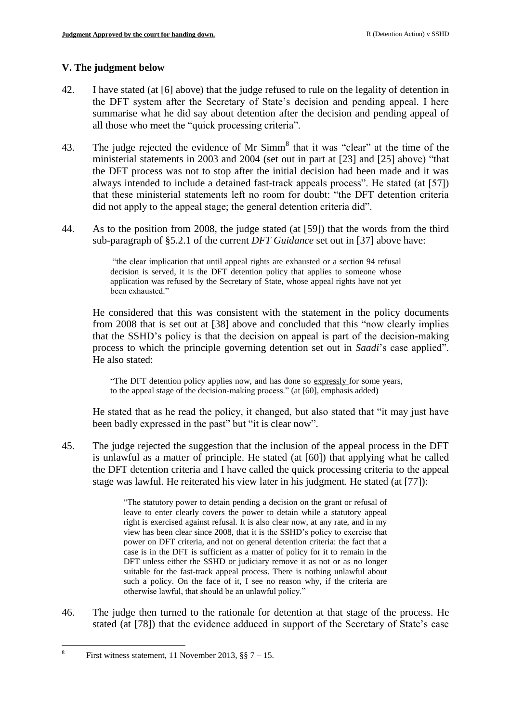# **V. The judgment below**

- 42. I have stated (at [6] above) that the judge refused to rule on the legality of detention in the DFT system after the Secretary of State's decision and pending appeal. I here summarise what he did say about detention after the decision and pending appeal of all those who meet the "quick processing criteria".
- 43. The judge rejected the evidence of Mr  $Simm<sup>8</sup>$  that it was "clear" at the time of the ministerial statements in 2003 and 2004 (set out in part at [23] and [25] above) "that the DFT process was not to stop after the initial decision had been made and it was always intended to include a detained fast-track appeals process". He stated (at [57]) that these ministerial statements left no room for doubt: "the DFT detention criteria did not apply to the appeal stage; the general detention criteria did".
- 44. As to the position from 2008, the judge stated (at [59]) that the words from the third sub-paragraph of §5.2.1 of the current *DFT Guidance* set out in [37] above have:

"the clear implication that until appeal rights are exhausted or a section 94 refusal decision is served, it is the DFT detention policy that applies to someone whose application was refused by the Secretary of State, whose appeal rights have not yet been exhausted."

He considered that this was consistent with the statement in the policy documents from 2008 that is set out at [38] above and concluded that this "now clearly implies that the SSHD's policy is that the decision on appeal is part of the decision-making process to which the principle governing detention set out in *Saadi*'s case applied". He also stated:

"The DFT detention policy applies now, and has done so expressly for some years, to the appeal stage of the decision-making process." (at [60], emphasis added)

He stated that as he read the policy, it changed, but also stated that "it may just have been badly expressed in the past" but "it is clear now".

45. The judge rejected the suggestion that the inclusion of the appeal process in the DFT is unlawful as a matter of principle. He stated (at [60]) that applying what he called the DFT detention criteria and I have called the quick processing criteria to the appeal stage was lawful. He reiterated his view later in his judgment. He stated (at [77]):

> "The statutory power to detain pending a decision on the grant or refusal of leave to enter clearly covers the power to detain while a statutory appeal right is exercised against refusal. It is also clear now, at any rate, and in my view has been clear since 2008, that it is the SSHD's policy to exercise that power on DFT criteria, and not on general detention criteria: the fact that a case is in the DFT is sufficient as a matter of policy for it to remain in the DFT unless either the SSHD or judiciary remove it as not or as no longer suitable for the fast-track appeal process. There is nothing unlawful about such a policy. On the face of it, I see no reason why, if the criteria are otherwise lawful, that should be an unlawful policy."

46. The judge then turned to the rationale for detention at that stage of the process. He stated (at [78]) that the evidence adduced in support of the Secretary of State's case

 $\frac{1}{8}$ First witness statement, 11 November 2013,  $\S$  $\$ 7 – 15.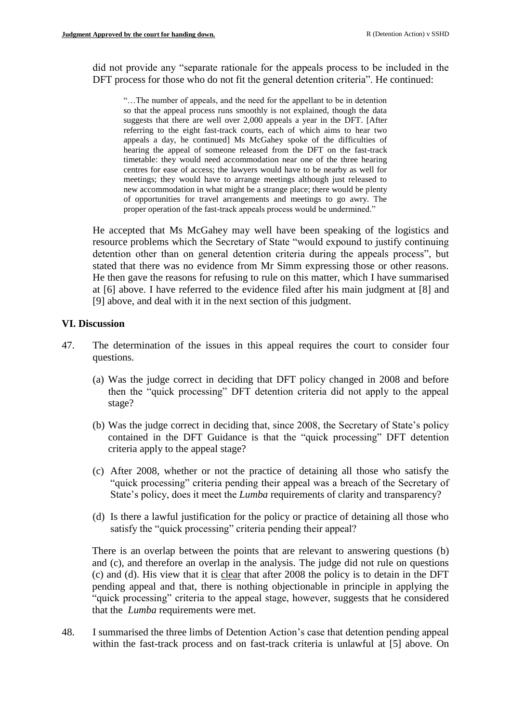did not provide any "separate rationale for the appeals process to be included in the DFT process for those who do not fit the general detention criteria". He continued:

"…The number of appeals, and the need for the appellant to be in detention so that the appeal process runs smoothly is not explained, though the data suggests that there are well over 2,000 appeals a year in the DFT. [After referring to the eight fast-track courts, each of which aims to hear two appeals a day, he continued] Ms McGahey spoke of the difficulties of hearing the appeal of someone released from the DFT on the fast-track timetable: they would need accommodation near one of the three hearing centres for ease of access; the lawyers would have to be nearby as well for meetings; they would have to arrange meetings although just released to new accommodation in what might be a strange place; there would be plenty of opportunities for travel arrangements and meetings to go awry. The proper operation of the fast-track appeals process would be undermined."

He accepted that Ms McGahey may well have been speaking of the logistics and resource problems which the Secretary of State "would expound to justify continuing detention other than on general detention criteria during the appeals process", but stated that there was no evidence from Mr Simm expressing those or other reasons. He then gave the reasons for refusing to rule on this matter, which I have summarised at [6] above. I have referred to the evidence filed after his main judgment at [8] and [9] above, and deal with it in the next section of this judgment.

### **VI. Discussion**

- 47. The determination of the issues in this appeal requires the court to consider four questions.
	- (a) Was the judge correct in deciding that DFT policy changed in 2008 and before then the "quick processing" DFT detention criteria did not apply to the appeal stage?
	- (b) Was the judge correct in deciding that, since 2008, the Secretary of State's policy contained in the DFT Guidance is that the "quick processing" DFT detention criteria apply to the appeal stage?
	- (c) After 2008, whether or not the practice of detaining all those who satisfy the "quick processing" criteria pending their appeal was a breach of the Secretary of State's policy, does it meet the *Lumba* requirements of clarity and transparency?
	- (d) Is there a lawful justification for the policy or practice of detaining all those who satisfy the "quick processing" criteria pending their appeal?

There is an overlap between the points that are relevant to answering questions (b) and (c), and therefore an overlap in the analysis. The judge did not rule on questions (c) and (d). His view that it is clear that after 2008 the policy is to detain in the DFT pending appeal and that, there is nothing objectionable in principle in applying the "quick processing" criteria to the appeal stage, however, suggests that he considered that the *Lumba* requirements were met.

48. I summarised the three limbs of Detention Action's case that detention pending appeal within the fast-track process and on fast-track criteria is unlawful at [5] above. On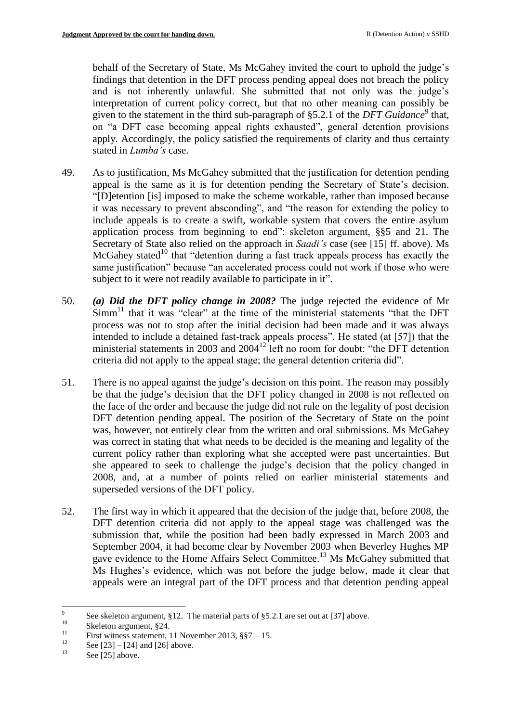behalf of the Secretary of State, Ms McGahey invited the court to uphold the judge's findings that detention in the DFT process pending appeal does not breach the policy and is not inherently unlawful. She submitted that not only was the judge's interpretation of current policy correct, but that no other meaning can possibly be given to the statement in the third sub-paragraph of §5.2.1 of the *DFT Guidance*<sup>9</sup> that, on "a DFT case becoming appeal rights exhausted", general detention provisions apply. Accordingly, the policy satisfied the requirements of clarity and thus certainty stated in *Lumba's* case.

- 49. As to justification, Ms McGahey submitted that the justification for detention pending appeal is the same as it is for detention pending the Secretary of State's decision. "[D]etention [is] imposed to make the scheme workable, rather than imposed because it was necessary to prevent absconding", and "the reason for extending the policy to include appeals is to create a swift, workable system that covers the entire asylum application process from beginning to end": skeleton argument, §§5 and 21. The Secretary of State also relied on the approach in *Saadi's* case (see [15] ff. above). Ms McGahey stated<sup>10</sup> that "detention during a fast track appeals process has exactly the same justification" because "an accelerated process could not work if those who were subject to it were not readily available to participate in it".
- 50. *(a) Did the DFT policy change in 2008?* The judge rejected the evidence of Mr  $Simm<sup>11</sup>$  that it was "clear" at the time of the ministerial statements "that the DFT process was not to stop after the initial decision had been made and it was always intended to include a detained fast-track appeals process". He stated (at [57]) that the ministerial statements in 2003 and  $2004<sup>12</sup>$  left no room for doubt: "the DFT detention criteria did not apply to the appeal stage; the general detention criteria did".
- 51. There is no appeal against the judge's decision on this point. The reason may possibly be that the judge's decision that the DFT policy changed in 2008 is not reflected on the face of the order and because the judge did not rule on the legality of post decision DFT detention pending appeal. The position of the Secretary of State on the point was, however, not entirely clear from the written and oral submissions. Ms McGahey was correct in stating that what needs to be decided is the meaning and legality of the current policy rather than exploring what she accepted were past uncertainties. But she appeared to seek to challenge the judge's decision that the policy changed in 2008, and, at a number of points relied on earlier ministerial statements and superseded versions of the DFT policy.
- 52. The first way in which it appeared that the decision of the judge that, before 2008, the DFT detention criteria did not apply to the appeal stage was challenged was the submission that, while the position had been badly expressed in March 2003 and September 2004, it had become clear by November 2003 when Beverley Hughes MP gave evidence to the Home Affairs Select Committee.<sup>13</sup> Ms McGahey submitted that Ms Hughes's evidence, which was not before the judge below, made it clear that appeals were an integral part of the DFT process and that detention pending appeal

<sup>-&</sup>lt;br>9 See skeleton argument, §12. The material parts of §5.2.1 are set out at [37] above.

 $10$ <br>Skeleton argument, §24.

<sup>&</sup>lt;sup>11</sup> First witness statement, 11 November 2013,  $\S$ <sup>7</sup> – 15.

 $^{12}$  See [23] – [24] and [26] above.

See [25] above.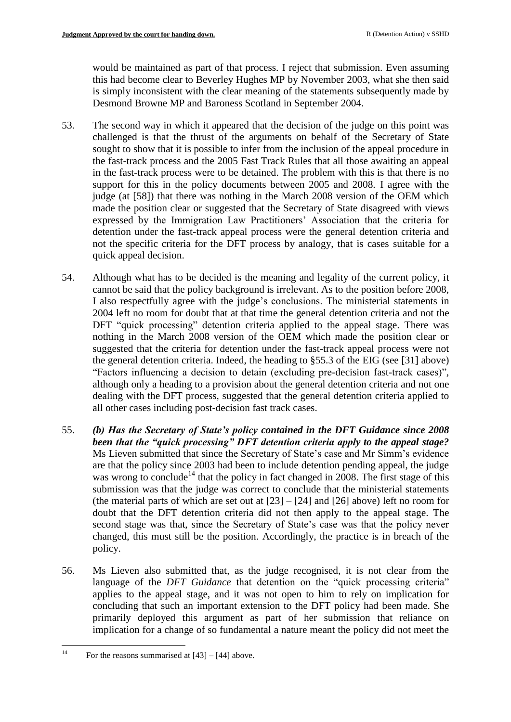would be maintained as part of that process. I reject that submission. Even assuming this had become clear to Beverley Hughes MP by November 2003, what she then said is simply inconsistent with the clear meaning of the statements subsequently made by Desmond Browne MP and Baroness Scotland in September 2004.

- 53. The second way in which it appeared that the decision of the judge on this point was challenged is that the thrust of the arguments on behalf of the Secretary of State sought to show that it is possible to infer from the inclusion of the appeal procedure in the fast-track process and the 2005 Fast Track Rules that all those awaiting an appeal in the fast-track process were to be detained. The problem with this is that there is no support for this in the policy documents between 2005 and 2008. I agree with the judge (at [58]) that there was nothing in the March 2008 version of the OEM which made the position clear or suggested that the Secretary of State disagreed with views expressed by the Immigration Law Practitioners' Association that the criteria for detention under the fast-track appeal process were the general detention criteria and not the specific criteria for the DFT process by analogy, that is cases suitable for a quick appeal decision.
- 54. Although what has to be decided is the meaning and legality of the current policy, it cannot be said that the policy background is irrelevant. As to the position before 2008, I also respectfully agree with the judge's conclusions. The ministerial statements in 2004 left no room for doubt that at that time the general detention criteria and not the DFT "quick processing" detention criteria applied to the appeal stage. There was nothing in the March 2008 version of the OEM which made the position clear or suggested that the criteria for detention under the fast-track appeal process were not the general detention criteria. Indeed, the heading to §55.3 of the EIG (see [31] above) "Factors influencing a decision to detain (excluding pre-decision fast-track cases)", although only a heading to a provision about the general detention criteria and not one dealing with the DFT process, suggested that the general detention criteria applied to all other cases including post-decision fast track cases.
- 55. *(b) Has the Secretary of State's policy contained in the DFT Guidance since 2008 been that the "quick processing" DFT detention criteria apply to the appeal stage?* Ms Lieven submitted that since the Secretary of State's case and Mr Simm's evidence are that the policy since 2003 had been to include detention pending appeal, the judge was wrong to conclude<sup>14</sup> that the policy in fact changed in 2008. The first stage of this submission was that the judge was correct to conclude that the ministerial statements (the material parts of which are set out at  $[23] - [24]$  and  $[26]$  above) left no room for doubt that the DFT detention criteria did not then apply to the appeal stage. The second stage was that, since the Secretary of State's case was that the policy never changed, this must still be the position. Accordingly, the practice is in breach of the policy.
- 56. Ms Lieven also submitted that, as the judge recognised, it is not clear from the language of the *DFT Guidance* that detention on the "quick processing criteria" applies to the appeal stage, and it was not open to him to rely on implication for concluding that such an important extension to the DFT policy had been made. She primarily deployed this argument as part of her submission that reliance on implication for a change of so fundamental a nature meant the policy did not meet the

 $14$ For the reasons summarised at  $[43] - [44]$  above.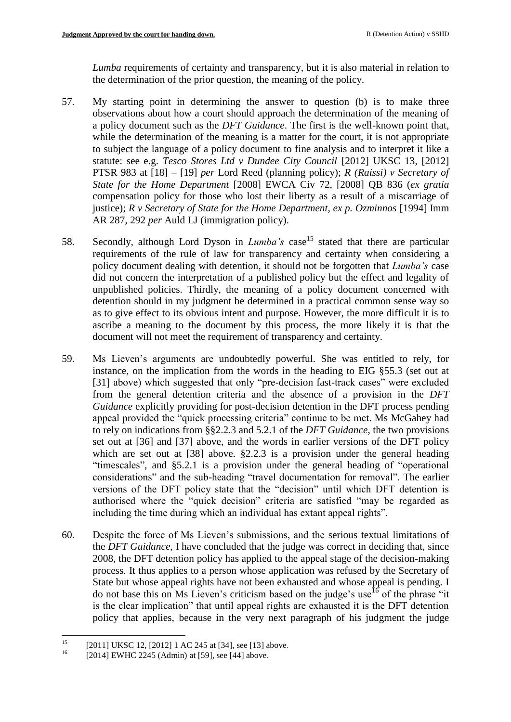*Lumba* requirements of certainty and transparency, but it is also material in relation to the determination of the prior question, the meaning of the policy.

- 57. My starting point in determining the answer to question (b) is to make three observations about how a court should approach the determination of the meaning of a policy document such as the *DFT Guidance*. The first is the well-known point that, while the determination of the meaning is a matter for the court, it is not appropriate to subject the language of a policy document to fine analysis and to interpret it like a statute: see e.g. *Tesco Stores Ltd v Dundee City Council* [\[2012\] UKSC 13,](http://www.bailii.org/uk/cases/UKSC/2012/13.html) [\[2012\]](http://www.bailii.org/uk/cases/UKSC/2012/13.html)  [PTSR 983](http://www.bailii.org/uk/cases/UKSC/2012/13.html) at [18] – [19] *per* Lord Reed (planning policy); *R (Raissi) v Secretary of State for the Home Department* [\[2008\] EWCA Civ 72, \[2008\] QB 836](http://www.bailii.org/cgi-bin/redirect.cgi?path=/ew/cases/EWCA/Civ/2008/72.html) (*ex gratia*  compensation policy for those who lost their liberty as a result of a miscarriage of justice); *R v Secretary of State for the Home Department, ex p. Ozminnos* [1994] Imm AR 287, 292 *per* Auld LJ (immigration policy).
- 58. Secondly, although Lord Dyson in *Lumba's* case<sup>15</sup> stated that there are particular requirements of the rule of law for transparency and certainty when considering a policy document dealing with detention, it should not be forgotten that *Lumba's* case did not concern the interpretation of a published policy but the effect and legality of unpublished policies. Thirdly, the meaning of a policy document concerned with detention should in my judgment be determined in a practical common sense way so as to give effect to its obvious intent and purpose. However, the more difficult it is to ascribe a meaning to the document by this process, the more likely it is that the document will not meet the requirement of transparency and certainty.
- 59. Ms Lieven's arguments are undoubtedly powerful. She was entitled to rely, for instance, on the implication from the words in the heading to EIG §55.3 (set out at [31] above) which suggested that only "pre-decision fast-track cases" were excluded from the general detention criteria and the absence of a provision in the *DFT Guidance* explicitly providing for post-decision detention in the DFT process pending appeal provided the "quick processing criteria" continue to be met. Ms McGahey had to rely on indications from §§2.2.3 and 5.2.1 of the *DFT Guidance*, the two provisions set out at [36] and [37] above, and the words in earlier versions of the DFT policy which are set out at [38] above. §2.2.3 is a provision under the general heading "timescales", and §5.2.1 is a provision under the general heading of "operational considerations" and the sub-heading "travel documentation for removal". The earlier versions of the DFT policy state that the "decision" until which DFT detention is authorised where the "quick decision" criteria are satisfied "may be regarded as including the time during which an individual has extant appeal rights".
- 60. Despite the force of Ms Lieven's submissions, and the serious textual limitations of the *DFT Guidance*, I have concluded that the judge was correct in deciding that, since 2008, the DFT detention policy has applied to the appeal stage of the decision-making process. It thus applies to a person whose application was refused by the Secretary of State but whose appeal rights have not been exhausted and whose appeal is pending. I do not base this on Ms Lieven's criticism based on the judge's use<sup>16</sup> of the phrase "it" is the clear implication" that until appeal rights are exhausted it is the DFT detention policy that applies, because in the very next paragraph of his judgment the judge

 $15$ <sup>15</sup> [2011] UKSC 12, [2012] 1 AC 245 at [34], see [13] above.<br><sup>16</sup> [2014] EWHC 2245 (Admin) at [50], see [44] above.

<sup>[2014]</sup> EWHC 2245 (Admin) at [59], see [44] above.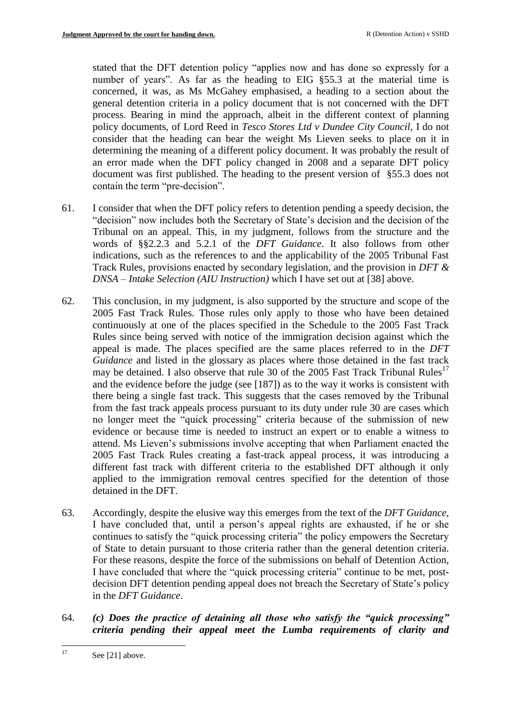stated that the DFT detention policy "applies now and has done so expressly for a number of years". As far as the heading to EIG §55.3 at the material time is concerned, it was, as Ms McGahey emphasised, a heading to a section about the general detention criteria in a policy document that is not concerned with the DFT process. Bearing in mind the approach, albeit in the different context of planning policy documents, of Lord Reed in *Tesco Stores Ltd v Dundee City Council,* I do not consider that the heading can bear the weight Ms Lieven seeks to place on it in determining the meaning of a different policy document. It was probably the result of an error made when the DFT policy changed in 2008 and a separate DFT policy document was first published. The heading to the present version of §55.3 does not contain the term "pre-decision".

- 61. I consider that when the DFT policy refers to detention pending a speedy decision, the "decision" now includes both the Secretary of State's decision and the decision of the Tribunal on an appeal. This, in my judgment, follows from the structure and the words of §§2.2.3 and 5.2.1 of the *DFT Guidance*. It also follows from other indications, such as the references to and the applicability of the 2005 Tribunal Fast Track Rules, provisions enacted by secondary legislation, and the provision in *DFT & DNSA – Intake Selection (AIU Instruction)* which I have set out at [38] above.
- 62. This conclusion, in my judgment, is also supported by the structure and scope of the 2005 Fast Track Rules. Those rules only apply to those who have been detained continuously at one of the places specified in the Schedule to the 2005 Fast Track Rules since being served with notice of the immigration decision against which the appeal is made. The places specified are the same places referred to in the *DFT Guidance* and listed in the glossary as places where those detained in the fast track may be detained. I also observe that rule 30 of the 2005 Fast Track Tribunal Rules<sup>17</sup> and the evidence before the judge (see [187]) as to the way it works is consistent with there being a single fast track. This suggests that the cases removed by the Tribunal from the fast track appeals process pursuant to its duty under rule 30 are cases which no longer meet the "quick processing" criteria because of the submission of new evidence or because time is needed to instruct an expert or to enable a witness to attend. Ms Lieven's submissions involve accepting that when Parliament enacted the 2005 Fast Track Rules creating a fast-track appeal process, it was introducing a different fast track with different criteria to the established DFT although it only applied to the immigration removal centres specified for the detention of those detained in the DFT.
- 63. Accordingly, despite the elusive way this emerges from the text of the *DFT Guidance*, I have concluded that, until a person's appeal rights are exhausted, if he or she continues to satisfy the "quick processing criteria" the policy empowers the Secretary of State to detain pursuant to those criteria rather than the general detention criteria. For these reasons, despite the force of the submissions on behalf of Detention Action, I have concluded that where the "quick processing criteria" continue to be met, postdecision DFT detention pending appeal does not breach the Secretary of State's policy in the *DFT Guidance*.
- 64. *(c) Does the practice of detaining all those who satisfy the "quick processing" criteria pending their appeal meet the Lumba requirements of clarity and*

 $17\,$ See [21] above.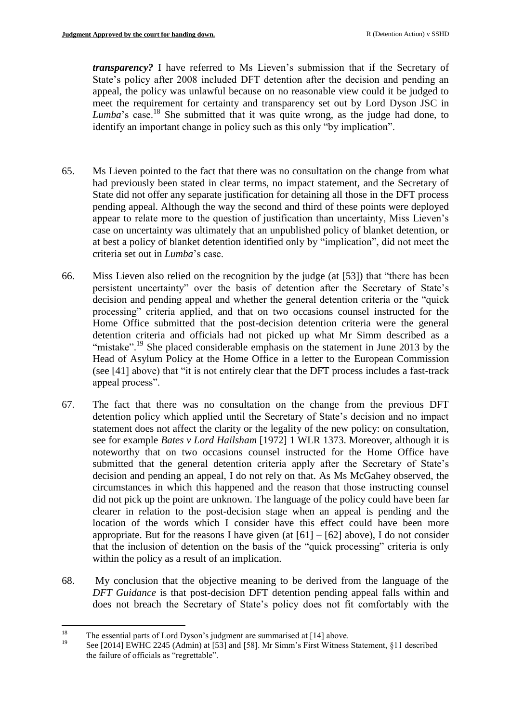*transparency?* I have referred to Ms Lieven's submission that if the Secretary of State's policy after 2008 included DFT detention after the decision and pending an appeal, the policy was unlawful because on no reasonable view could it be judged to meet the requirement for certainty and transparency set out by Lord Dyson JSC in *Lumba*'s case.<sup>18</sup> She submitted that it was quite wrong, as the judge had done, to identify an important change in policy such as this only "by implication".

- 65. Ms Lieven pointed to the fact that there was no consultation on the change from what had previously been stated in clear terms, no impact statement, and the Secretary of State did not offer any separate justification for detaining all those in the DFT process pending appeal. Although the way the second and third of these points were deployed appear to relate more to the question of justification than uncertainty, Miss Lieven's case on uncertainty was ultimately that an unpublished policy of blanket detention, or at best a policy of blanket detention identified only by "implication", did not meet the criteria set out in *Lumba*'s case.
- 66. Miss Lieven also relied on the recognition by the judge (at [53]) that "there has been persistent uncertainty" over the basis of detention after the Secretary of State's decision and pending appeal and whether the general detention criteria or the "quick processing" criteria applied, and that on two occasions counsel instructed for the Home Office submitted that the post-decision detention criteria were the general detention criteria and officials had not picked up what Mr Simm described as a "mistake".<sup>19</sup> She placed considerable emphasis on the statement in June 2013 by the Head of Asylum Policy at the Home Office in a letter to the European Commission (see [41] above) that "it is not entirely clear that the DFT process includes a fast-track appeal process".
- 67. The fact that there was no consultation on the change from the previous DFT detention policy which applied until the Secretary of State's decision and no impact statement does not affect the clarity or the legality of the new policy: on consultation, see for example *Bates v Lord Hailsham* [1972] 1 WLR 1373. Moreover, although it is noteworthy that on two occasions counsel instructed for the Home Office have submitted that the general detention criteria apply after the Secretary of State's decision and pending an appeal, I do not rely on that. As Ms McGahey observed, the circumstances in which this happened and the reason that those instructing counsel did not pick up the point are unknown. The language of the policy could have been far clearer in relation to the post-decision stage when an appeal is pending and the location of the words which I consider have this effect could have been more appropriate. But for the reasons I have given (at  $[61] - [62]$  above), I do not consider that the inclusion of detention on the basis of the "quick processing" criteria is only within the policy as a result of an implication.
- 68. My conclusion that the objective meaning to be derived from the language of the *DFT Guidance* is that post-decision DFT detention pending appeal falls within and does not breach the Secretary of State's policy does not fit comfortably with the

<sup>18</sup> <sup>18</sup> The essential parts of Lord Dyson's judgment are summarised at [14] above.<br><sup>19</sup> See [2014] EWILC 2245 (Admin) of [52] and [52]. Mr Simm's First Witness.

<sup>19</sup> See [2014] EWHC 2245 (Admin) at [53] and [58]. Mr Simm's First Witness Statement, §11 described the failure of officials as "regrettable".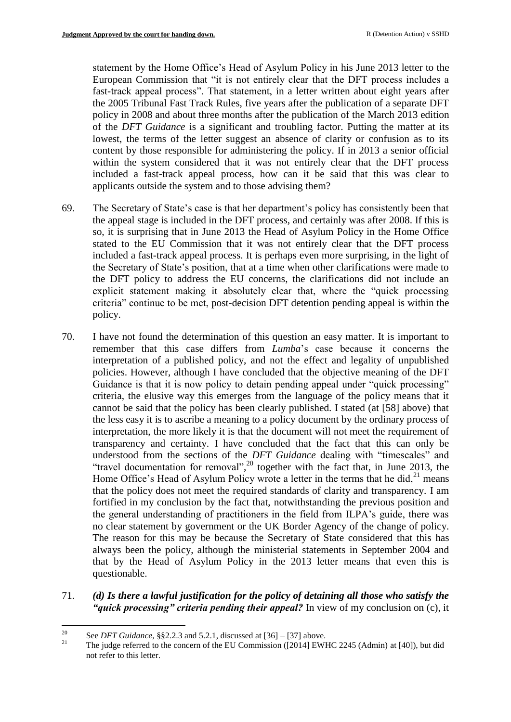statement by the Home Office's Head of Asylum Policy in his June 2013 letter to the European Commission that "it is not entirely clear that the DFT process includes a fast-track appeal process". That statement, in a letter written about eight years after the 2005 Tribunal Fast Track Rules, five years after the publication of a separate DFT policy in 2008 and about three months after the publication of the March 2013 edition of the *DFT Guidance* is a significant and troubling factor. Putting the matter at its lowest, the terms of the letter suggest an absence of clarity or confusion as to its content by those responsible for administering the policy. If in 2013 a senior official within the system considered that it was not entirely clear that the DFT process included a fast-track appeal process, how can it be said that this was clear to applicants outside the system and to those advising them?

- 69. The Secretary of State's case is that her department's policy has consistently been that the appeal stage is included in the DFT process, and certainly was after 2008. If this is so, it is surprising that in June 2013 the Head of Asylum Policy in the Home Office stated to the EU Commission that it was not entirely clear that the DFT process included a fast-track appeal process. It is perhaps even more surprising, in the light of the Secretary of State's position, that at a time when other clarifications were made to the DFT policy to address the EU concerns, the clarifications did not include an explicit statement making it absolutely clear that, where the "quick processing criteria" continue to be met, post-decision DFT detention pending appeal is within the policy.
- 70. I have not found the determination of this question an easy matter. It is important to remember that this case differs from *Lumba*'s case because it concerns the interpretation of a published policy, and not the effect and legality of unpublished policies. However, although I have concluded that the objective meaning of the DFT Guidance is that it is now policy to detain pending appeal under "quick processing" criteria, the elusive way this emerges from the language of the policy means that it cannot be said that the policy has been clearly published. I stated (at [58] above) that the less easy it is to ascribe a meaning to a policy document by the ordinary process of interpretation, the more likely it is that the document will not meet the requirement of transparency and certainty. I have concluded that the fact that this can only be understood from the sections of the *DFT Guidance* dealing with "timescales" and "travel documentation for removal",<sup>20</sup> together with the fact that, in June 2013, the Home Office's Head of Asylum Policy wrote a letter in the terms that he did, $^{21}$  means that the policy does not meet the required standards of clarity and transparency. I am fortified in my conclusion by the fact that, notwithstanding the previous position and the general understanding of practitioners in the field from ILPA's guide, there was no clear statement by government or the UK Border Agency of the change of policy. The reason for this may be because the Secretary of State considered that this has always been the policy, although the ministerial statements in September 2004 and that by the Head of Asylum Policy in the 2013 letter means that even this is questionable.
- 71. *(d) Is there a lawful justification for the policy of detaining all those who satisfy the "quick processing" criteria pending their appeal?* In view of my conclusion on (c), it

 $20\,$ <sup>20</sup> See *DFT Guidance*, §§2.2.3 and 5.2.1, discussed at  $[36] - [37]$  above.

<sup>21</sup> The judge referred to the concern of the EU Commission ([2014] EWHC 2245 (Admin) at [40]), but did not refer to this letter.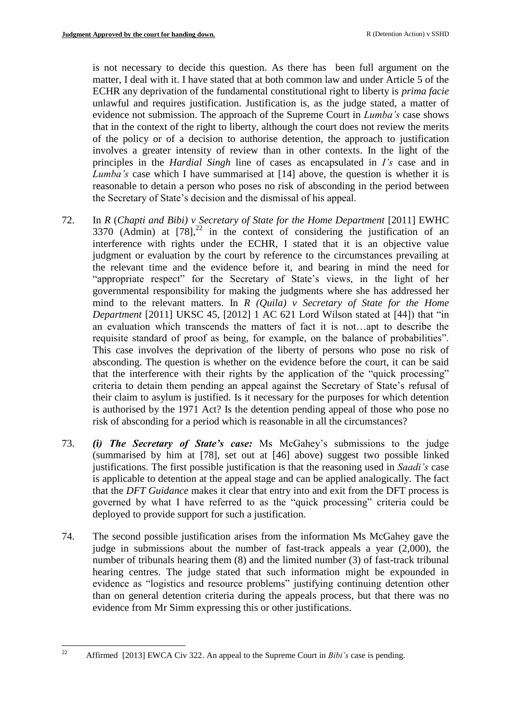is not necessary to decide this question. As there has been full argument on the matter, I deal with it. I have stated that at both common law and under Article 5 of the ECHR any deprivation of the fundamental constitutional right to liberty is *prima facie*  unlawful and requires justification. Justification is, as the judge stated, a matter of evidence not submission. The approach of the Supreme Court in *Lumba's* case shows that in the context of the right to liberty, although the court does not review the merits of the policy or of a decision to authorise detention, the approach to justification involves a greater intensity of review than in other contexts. In the light of the principles in the *Hardial Singh* line of cases as encapsulated in *I's* case and in *Lumba's* case which I have summarised at [14] above, the question is whether it is reasonable to detain a person who poses no risk of absconding in the period between the Secretary of State's decision and the dismissal of his appeal.

- 72. In *R* (*Chapti and Bibi) v Secretary of State for the Home Department* [\[2011\] EWHC](http://www.bailii.org/ew/cases/EWHC/Admin/2011/3370.html)   $3370$  (Admin) at  $[78]$ ,<sup>22</sup> in the context of considering the justification of an interference with rights under the ECHR, I stated that it is an objective value judgment or evaluation by the court by reference to the circumstances prevailing at the relevant time and the evidence before it, and bearing in mind the need for "appropriate respect" for the Secretary of State's views, in the light of her governmental responsibility for making the judgments where she has addressed her mind to the relevant matters. In *R (Quila) v Secretary of State for the Home Department* [2011] UKSC 45, [\[2012\] 1 AC 621](http://www.bailii.org/cgi-bin/redirect.cgi?path=/uk/cases/UKSC/2011/45.html) Lord Wilson stated at [44]) that "in an evaluation which transcends the matters of fact it is not…apt to describe the requisite standard of proof as being, for example, on the balance of probabilities". This case involves the deprivation of the liberty of persons who pose no risk of absconding. The question is whether on the evidence before the court, it can be said that the interference with their rights by the application of the "quick processing" criteria to detain them pending an appeal against the Secretary of State's refusal of their claim to asylum is justified. Is it necessary for the purposes for which detention is authorised by the 1971 Act? Is the detention pending appeal of those who pose no risk of absconding for a period which is reasonable in all the circumstances?
- 73. *(i) The Secretary of State's case:* Ms McGahey's submissions to the judge (summarised by him at [78], set out at [46] above) suggest two possible linked justifications. The first possible justification is that the reasoning used in *Saadi's* case is applicable to detention at the appeal stage and can be applied analogically. The fact that the *DFT Guidance* makes it clear that entry into and exit from the DFT process is governed by what I have referred to as the "quick processing" criteria could be deployed to provide support for such a justification.
- 74. The second possible justification arises from the information Ms McGahey gave the judge in submissions about the number of fast-track appeals a year (2,000), the number of tribunals hearing them (8) and the limited number (3) of fast-track tribunal hearing centres. The judge stated that such information might be expounded in evidence as "logistics and resource problems" justifying continuing detention other than on general detention criteria during the appeals process, but that there was no evidence from Mr Simm expressing this or other justifications.

 $22\,$ <sup>22</sup> Affirmed [2013] EWCA Civ 322. An appeal to the Supreme Court in *Bibi's* case is pending.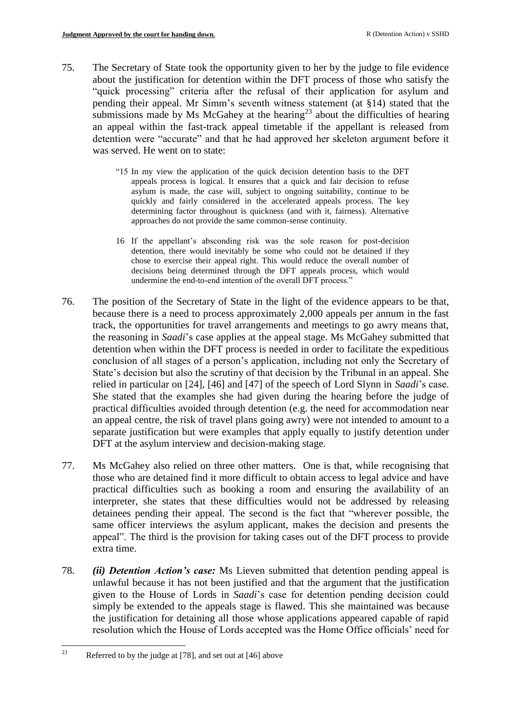- 75. The Secretary of State took the opportunity given to her by the judge to file evidence about the justification for detention within the DFT process of those who satisfy the "quick processing" criteria after the refusal of their application for asylum and pending their appeal. Mr Simm's seventh witness statement (at §14) stated that the submissions made by Ms McGahey at the hearing<sup>23</sup> about the difficulties of hearing an appeal within the fast-track appeal timetable if the appellant is released from detention were "accurate" and that he had approved her skeleton argument before it was served. He went on to state:
	- "15 In my view the application of the quick decision detention basis to the DFT appeals process is logical. It ensures that a quick and fair decision to refuse asylum is made, the case will, subject to ongoing suitability, continue to be quickly and fairly considered in the accelerated appeals process. The key determining factor throughout is quickness (and with it, fairness). Alternative approaches do not provide the same common-sense continuity.
	- 16 If the appellant's absconding risk was the sole reason for post-decision detention, there would inevitably be some who could not be detained if they chose to exercise their appeal right. This would reduce the overall number of decisions being determined through the DFT appeals process, which would undermine the end-to-end intention of the overall DFT process."
- 76. The position of the Secretary of State in the light of the evidence appears to be that, because there is a need to process approximately 2,000 appeals per annum in the fast track, the opportunities for travel arrangements and meetings to go awry means that, the reasoning in *Saadi*'s case applies at the appeal stage. Ms McGahey submitted that detention when within the DFT process is needed in order to facilitate the expeditious conclusion of all stages of a person's application, including not only the Secretary of State's decision but also the scrutiny of that decision by the Tribunal in an appeal. She relied in particular on [24], [46] and [47] of the speech of Lord Slynn in *Saadi*'s case. She stated that the examples she had given during the hearing before the judge of practical difficulties avoided through detention (e.g. the need for accommodation near an appeal centre, the risk of travel plans going awry) were not intended to amount to a separate justification but were examples that apply equally to justify detention under DFT at the asylum interview and decision-making stage.
- 77. Ms McGahey also relied on three other matters. One is that, while recognising that those who are detained find it more difficult to obtain access to legal advice and have practical difficulties such as booking a room and ensuring the availability of an interpreter, she states that these difficulties would not be addressed by releasing detainees pending their appeal. The second is the fact that "wherever possible, the same officer interviews the asylum applicant, makes the decision and presents the appeal". The third is the provision for taking cases out of the DFT process to provide extra time.
- 78. *(ii) Detention Action's case:* Ms Lieven submitted that detention pending appeal is unlawful because it has not been justified and that the argument that the justification given to the House of Lords in *Saadi*'s case for detention pending decision could simply be extended to the appeals stage is flawed. This she maintained was because the justification for detaining all those whose applications appeared capable of rapid resolution which the House of Lords accepted was the Home Office officials' need for

<sup>23</sup> Referred to by the judge at  $[78]$ , and set out at  $[46]$  above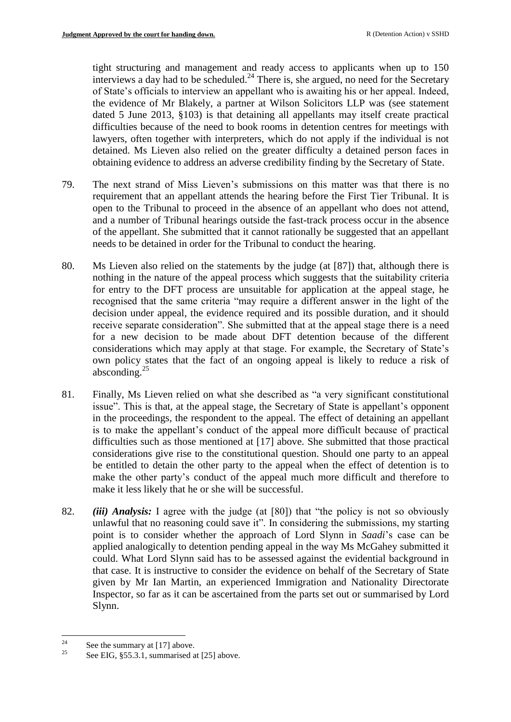tight structuring and management and ready access to applicants when up to 150 interviews a day had to be scheduled. <sup>24</sup> There is, she argued, no need for the Secretary of State's officials to interview an appellant who is awaiting his or her appeal. Indeed, the evidence of Mr Blakely, a partner at Wilson Solicitors LLP was (see statement dated 5 June 2013, §103) is that detaining all appellants may itself create practical difficulties because of the need to book rooms in detention centres for meetings with lawyers, often together with interpreters, which do not apply if the individual is not detained. Ms Lieven also relied on the greater difficulty a detained person faces in obtaining evidence to address an adverse credibility finding by the Secretary of State.

- 79. The next strand of Miss Lieven's submissions on this matter was that there is no requirement that an appellant attends the hearing before the First Tier Tribunal. It is open to the Tribunal to proceed in the absence of an appellant who does not attend, and a number of Tribunal hearings outside the fast-track process occur in the absence of the appellant. She submitted that it cannot rationally be suggested that an appellant needs to be detained in order for the Tribunal to conduct the hearing.
- 80. Ms Lieven also relied on the statements by the judge (at [87]) that, although there is nothing in the nature of the appeal process which suggests that the suitability criteria for entry to the DFT process are unsuitable for application at the appeal stage, he recognised that the same criteria "may require a different answer in the light of the decision under appeal, the evidence required and its possible duration, and it should receive separate consideration". She submitted that at the appeal stage there is a need for a new decision to be made about DFT detention because of the different considerations which may apply at that stage. For example, the Secretary of State's own policy states that the fact of an ongoing appeal is likely to reduce a risk of absconding. 25
- 81. Finally, Ms Lieven relied on what she described as "a very significant constitutional issue". This is that, at the appeal stage, the Secretary of State is appellant's opponent in the proceedings, the respondent to the appeal. The effect of detaining an appellant is to make the appellant's conduct of the appeal more difficult because of practical difficulties such as those mentioned at [17] above. She submitted that those practical considerations give rise to the constitutional question. Should one party to an appeal be entitled to detain the other party to the appeal when the effect of detention is to make the other party's conduct of the appeal much more difficult and therefore to make it less likely that he or she will be successful.
- 82. *(iii) Analysis:* I agree with the judge (at [80]) that "the policy is not so obviously unlawful that no reasoning could save it". In considering the submissions, my starting point is to consider whether the approach of Lord Slynn in *Saadi*'s case can be applied analogically to detention pending appeal in the way Ms McGahey submitted it could. What Lord Slynn said has to be assessed against the evidential background in that case. It is instructive to consider the evidence on behalf of the Secretary of State given by Mr Ian Martin, an experienced Immigration and Nationality Directorate Inspector, so far as it can be ascertained from the parts set out or summarised by Lord Slynn.

 $\overline{24}$  $\frac{24}{25}$  See the summary at [17] above.

See EIG, §55.3.1, summarised at [25] above.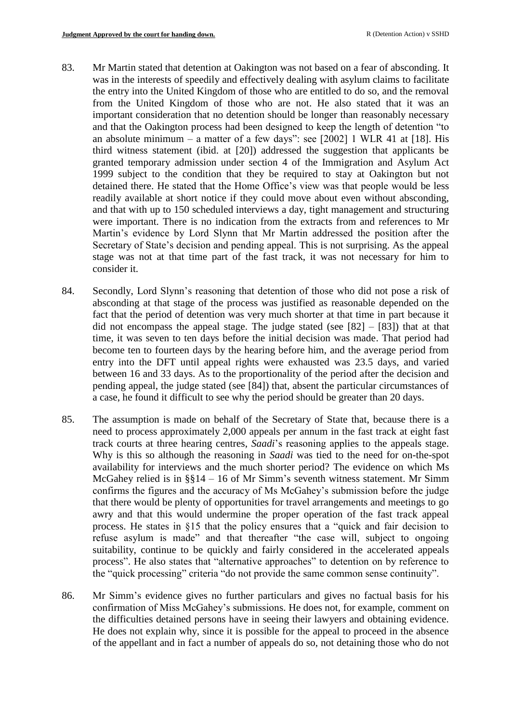- 83. Mr Martin stated that detention at Oakington was not based on a fear of absconding. It was in the interests of speedily and effectively dealing with asylum claims to facilitate the entry into the United Kingdom of those who are entitled to do so, and the removal from the United Kingdom of those who are not. He also stated that it was an important consideration that no detention should be longer than reasonably necessary and that the Oakington process had been designed to keep the length of detention "to an absolute minimum – a matter of a few days": see  $[2002]$  1 WLR 41 at  $[18]$ . His third witness statement (ibid. at [20]) addressed the suggestion that applicants be granted temporary admission under section 4 of the Immigration and Asylum Act 1999 subject to the condition that they be required to stay at Oakington but not detained there. He stated that the Home Office's view was that people would be less readily available at short notice if they could move about even without absconding, and that with up to 150 scheduled interviews a day, tight management and structuring were important. There is no indication from the extracts from and references to Mr Martin's evidence by Lord Slynn that Mr Martin addressed the position after the Secretary of State's decision and pending appeal. This is not surprising. As the appeal stage was not at that time part of the fast track, it was not necessary for him to consider it.
- 84. Secondly, Lord Slynn's reasoning that detention of those who did not pose a risk of absconding at that stage of the process was justified as reasonable depended on the fact that the period of detention was very much shorter at that time in part because it did not encompass the appeal stage. The judge stated (see  $[82] - [83]$ ) that at that time, it was seven to ten days before the initial decision was made. That period had become ten to fourteen days by the hearing before him, and the average period from entry into the DFT until appeal rights were exhausted was 23.5 days, and varied between 16 and 33 days. As to the proportionality of the period after the decision and pending appeal, the judge stated (see [84]) that, absent the particular circumstances of a case, he found it difficult to see why the period should be greater than 20 days.
- 85. The assumption is made on behalf of the Secretary of State that, because there is a need to process approximately 2,000 appeals per annum in the fast track at eight fast track courts at three hearing centres, *Saadi*'s reasoning applies to the appeals stage. Why is this so although the reasoning in *Saadi* was tied to the need for on-the-spot availability for interviews and the much shorter period? The evidence on which Ms McGahey relied is in §§14 – 16 of Mr Simm's seventh witness statement. Mr Simm confirms the figures and the accuracy of Ms McGahey's submission before the judge that there would be plenty of opportunities for travel arrangements and meetings to go awry and that this would undermine the proper operation of the fast track appeal process. He states in §15 that the policy ensures that a "quick and fair decision to refuse asylum is made" and that thereafter "the case will, subject to ongoing suitability, continue to be quickly and fairly considered in the accelerated appeals process". He also states that "alternative approaches" to detention on by reference to the "quick processing" criteria "do not provide the same common sense continuity".
- 86. Mr Simm's evidence gives no further particulars and gives no factual basis for his confirmation of Miss McGahey's submissions. He does not, for example, comment on the difficulties detained persons have in seeing their lawyers and obtaining evidence. He does not explain why, since it is possible for the appeal to proceed in the absence of the appellant and in fact a number of appeals do so, not detaining those who do not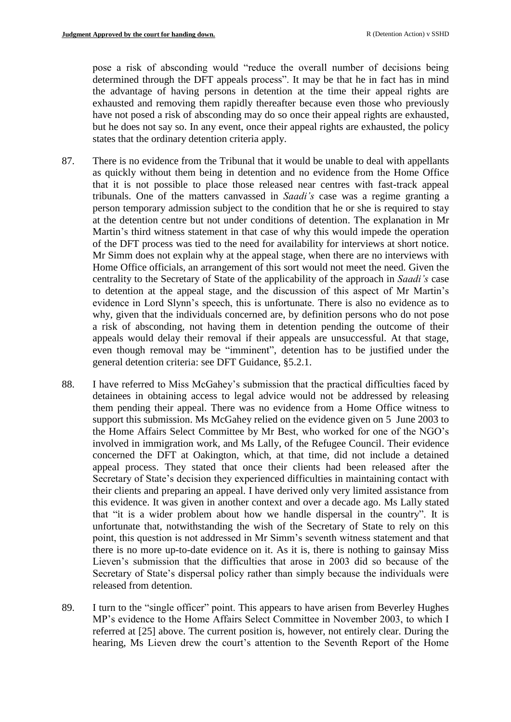pose a risk of absconding would "reduce the overall number of decisions being determined through the DFT appeals process". It may be that he in fact has in mind the advantage of having persons in detention at the time their appeal rights are exhausted and removing them rapidly thereafter because even those who previously have not posed a risk of absconding may do so once their appeal rights are exhausted, but he does not say so. In any event, once their appeal rights are exhausted, the policy states that the ordinary detention criteria apply.

- 87. There is no evidence from the Tribunal that it would be unable to deal with appellants as quickly without them being in detention and no evidence from the Home Office that it is not possible to place those released near centres with fast-track appeal tribunals. One of the matters canvassed in *Saadi's* case was a regime granting a person temporary admission subject to the condition that he or she is required to stay at the detention centre but not under conditions of detention. The explanation in Mr Martin's third witness statement in that case of why this would impede the operation of the DFT process was tied to the need for availability for interviews at short notice. Mr Simm does not explain why at the appeal stage, when there are no interviews with Home Office officials, an arrangement of this sort would not meet the need. Given the centrality to the Secretary of State of the applicability of the approach in *Saadi's* case to detention at the appeal stage, and the discussion of this aspect of Mr Martin's evidence in Lord Slynn's speech, this is unfortunate. There is also no evidence as to why, given that the individuals concerned are, by definition persons who do not pose a risk of absconding, not having them in detention pending the outcome of their appeals would delay their removal if their appeals are unsuccessful. At that stage, even though removal may be "imminent", detention has to be justified under the general detention criteria: see DFT Guidance, §5.2.1.
- 88. I have referred to Miss McGahey's submission that the practical difficulties faced by detainees in obtaining access to legal advice would not be addressed by releasing them pending their appeal. There was no evidence from a Home Office witness to support this submission. Ms McGahey relied on the evidence given on 5 June 2003 to the Home Affairs Select Committee by Mr Best, who worked for one of the NGO's involved in immigration work, and Ms Lally, of the Refugee Council. Their evidence concerned the DFT at Oakington, which, at that time, did not include a detained appeal process. They stated that once their clients had been released after the Secretary of State's decision they experienced difficulties in maintaining contact with their clients and preparing an appeal. I have derived only very limited assistance from this evidence. It was given in another context and over a decade ago. Ms Lally stated that "it is a wider problem about how we handle dispersal in the country". It is unfortunate that, notwithstanding the wish of the Secretary of State to rely on this point, this question is not addressed in Mr Simm's seventh witness statement and that there is no more up-to-date evidence on it. As it is, there is nothing to gainsay Miss Lieven's submission that the difficulties that arose in 2003 did so because of the Secretary of State's dispersal policy rather than simply because the individuals were released from detention.
- 89. I turn to the "single officer" point. This appears to have arisen from Beverley Hughes MP's evidence to the Home Affairs Select Committee in November 2003, to which I referred at [25] above. The current position is, however, not entirely clear. During the hearing, Ms Lieven drew the court's attention to the Seventh Report of the Home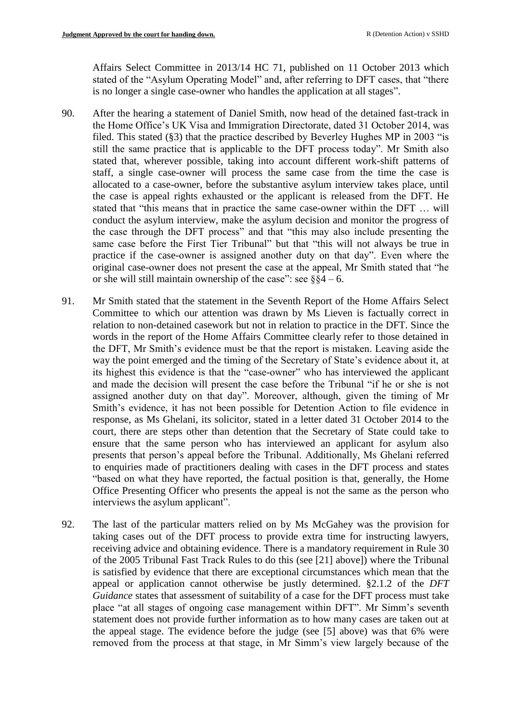Affairs Select Committee in 2013/14 HC 71, published on 11 October 2013 which stated of the "Asylum Operating Model" and, after referring to DFT cases, that "there is no longer a single case-owner who handles the application at all stages".

- 90. After the hearing a statement of Daniel Smith, now head of the detained fast-track in the Home Office's UK Visa and Immigration Directorate, dated 31 October 2014, was filed. This stated (§3) that the practice described by Beverley Hughes MP in 2003 "is still the same practice that is applicable to the DFT process today". Mr Smith also stated that, wherever possible, taking into account different work-shift patterns of staff, a single case-owner will process the same case from the time the case is allocated to a case-owner, before the substantive asylum interview takes place, until the case is appeal rights exhausted or the applicant is released from the DFT. He stated that "this means that in practice the same case-owner within the DFT … will conduct the asylum interview, make the asylum decision and monitor the progress of the case through the DFT process" and that "this may also include presenting the same case before the First Tier Tribunal" but that "this will not always be true in practice if the case-owner is assigned another duty on that day". Even where the original case-owner does not present the case at the appeal, Mr Smith stated that "he or she will still maintain ownership of the case": see  $\S$ §4 – 6.
- 91. Mr Smith stated that the statement in the Seventh Report of the Home Affairs Select Committee to which our attention was drawn by Ms Lieven is factually correct in relation to non-detained casework but not in relation to practice in the DFT. Since the words in the report of the Home Affairs Committee clearly refer to those detained in the DFT, Mr Smith's evidence must be that the report is mistaken. Leaving aside the way the point emerged and the timing of the Secretary of State's evidence about it, at its highest this evidence is that the "case-owner" who has interviewed the applicant and made the decision will present the case before the Tribunal "if he or she is not assigned another duty on that day". Moreover, although, given the timing of Mr Smith's evidence, it has not been possible for Detention Action to file evidence in response, as Ms Ghelani, its solicitor, stated in a letter dated 31 October 2014 to the court, there are steps other than detention that the Secretary of State could take to ensure that the same person who has interviewed an applicant for asylum also presents that person's appeal before the Tribunal. Additionally, Ms Ghelani referred to enquiries made of practitioners dealing with cases in the DFT process and states "based on what they have reported, the factual position is that, generally, the Home Office Presenting Officer who presents the appeal is not the same as the person who interviews the asylum applicant".
- 92. The last of the particular matters relied on by Ms McGahey was the provision for taking cases out of the DFT process to provide extra time for instructing lawyers, receiving advice and obtaining evidence. There is a mandatory requirement in Rule 30 of the 2005 Tribunal Fast Track Rules to do this (see [21] above]) where the Tribunal is satisfied by evidence that there are exceptional circumstances which mean that the appeal or application cannot otherwise be justly determined. §2.1.2 of the *DFT Guidance* states that assessment of suitability of a case for the DFT process must take place "at all stages of ongoing case management within DFT". Mr Simm's seventh statement does not provide further information as to how many cases are taken out at the appeal stage. The evidence before the judge (see [5] above) was that 6% were removed from the process at that stage, in Mr Simm's view largely because of the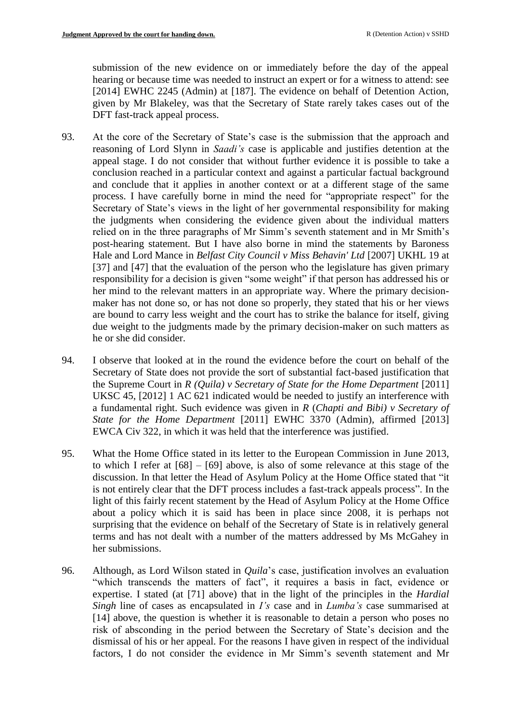submission of the new evidence on or immediately before the day of the appeal hearing or because time was needed to instruct an expert or for a witness to attend: see [2014] EWHC 2245 (Admin) at [187]. The evidence on behalf of Detention Action, given by Mr Blakeley, was that the Secretary of State rarely takes cases out of the DFT fast-track appeal process.

- 93. At the core of the Secretary of State's case is the submission that the approach and reasoning of Lord Slynn in *Saadi's* case is applicable and justifies detention at the appeal stage. I do not consider that without further evidence it is possible to take a conclusion reached in a particular context and against a particular factual background and conclude that it applies in another context or at a different stage of the same process. I have carefully borne in mind the need for "appropriate respect" for the Secretary of State's views in the light of her governmental responsibility for making the judgments when considering the evidence given about the individual matters relied on in the three paragraphs of Mr Simm's seventh statement and in Mr Smith's post-hearing statement. But I have also borne in mind the statements by Baroness Hale and Lord Mance in *Belfast City Council v Miss Behavin' Ltd* [\[2007\] UKHL 19](http://www.bailii.org/uk/cases/UKHL/2007/19.html) at [37] and [47] that the evaluation of the person who the legislature has given primary responsibility for a decision is given "some weight" if that person has addressed his or her mind to the relevant matters in an appropriate way. Where the primary decisionmaker has not done so, or has not done so properly, they stated that his or her views are bound to carry less weight and the court has to strike the balance for itself, giving due weight to the judgments made by the primary decision-maker on such matters as he or she did consider.
- 94. I observe that looked at in the round the evidence before the court on behalf of the Secretary of State does not provide the sort of substantial fact-based justification that the Supreme Court in *R (Quila) v Secretary of State for the Home Department* [2011] UKSC 45, [\[2012\] 1 AC 621](http://www.bailii.org/cgi-bin/redirect.cgi?path=/uk/cases/UKSC/2011/45.html) indicated would be needed to justify an interference with a fundamental right. Such evidence was given in *R* (*Chapti and Bibi) v Secretary of State for the Home Department* [\[2011\] EWHC 3370 \(Admin\),](http://www.bailii.org/ew/cases/EWHC/Admin/2011/3370.html) affirmed [2013] EWCA Civ 322, in which it was held that the interference was justified.
- 95. What the Home Office stated in its letter to the European Commission in June 2013, to which I refer at [68] – [69] above, is also of some relevance at this stage of the discussion. In that letter the Head of Asylum Policy at the Home Office stated that "it is not entirely clear that the DFT process includes a fast-track appeals process". In the light of this fairly recent statement by the Head of Asylum Policy at the Home Office about a policy which it is said has been in place since 2008, it is perhaps not surprising that the evidence on behalf of the Secretary of State is in relatively general terms and has not dealt with a number of the matters addressed by Ms McGahey in her submissions.
- 96. Although, as Lord Wilson stated in *Quila*'s case, justification involves an evaluation "which transcends the matters of fact", it requires a basis in fact, evidence or expertise. I stated (at [71] above) that in the light of the principles in the *Hardial Singh* line of cases as encapsulated in *I's* case and in *Lumba's* case summarised at [14] above, the question is whether it is reasonable to detain a person who poses no risk of absconding in the period between the Secretary of State's decision and the dismissal of his or her appeal. For the reasons I have given in respect of the individual factors, I do not consider the evidence in Mr Simm's seventh statement and Mr